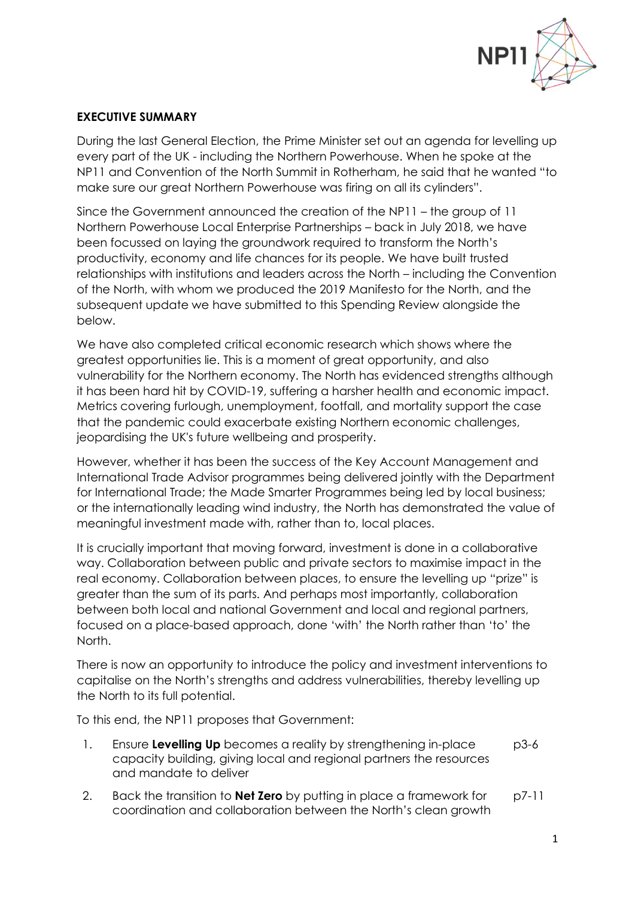

## **EXECUTIVE SUMMARY**

During the last General Election, the Prime Minister set out an agenda for levelling up every part of the UK - including the Northern Powerhouse. When he spoke at the NP11 and Convention of the North Summit in Rotherham, he said that he wanted "to make sure our great Northern Powerhouse was firing on all its cylinders".

Since the Government announced the creation of the NP11 – the group of 11 Northern Powerhouse Local Enterprise Partnerships – back in July 2018, we have been focussed on laying the groundwork required to transform the North's productivity, economy and life chances for its people. We have built trusted relationships with institutions and leaders across the North – including the Convention of the North, with whom we produced the 2019 Manifesto for the North, and the subsequent update we have submitted to this Spending Review alongside the below.

We have also completed critical economic research which shows where the greatest opportunities lie. This is a moment of great opportunity, and also vulnerability for the Northern economy. The North has evidenced strengths although it has been hard hit by COVID-19, suffering a harsher health and economic impact. Metrics covering furlough, unemployment, footfall, and mortality support the case that the pandemic could exacerbate existing Northern economic challenges, jeopardising the UK's future wellbeing and prosperity.

However, whether it has been the success of the Key Account Management and International Trade Advisor programmes being delivered jointly with the Department for International Trade; the Made Smarter Programmes being led by local business; or the internationally leading wind industry, the North has demonstrated the value of meaningful investment made with, rather than to, local places.

It is crucially important that moving forward, investment is done in a collaborative way. Collaboration between public and private sectors to maximise impact in the real economy. Collaboration between places, to ensure the levelling up "prize" is greater than the sum of its parts. And perhaps most importantly, collaboration between both local and national Government and local and regional partners, focused on a place-based approach, done 'with' the North rather than 'to' the North.

There is now an opportunity to introduce the policy and investment interventions to capitalise on the North's strengths and address vulnerabilities, thereby levelling up the North to its full potential.

To this end, the NP11 proposes that Government:

- 1. Ensure **Levelling Up** becomes a reality by strengthening in-place capacity building, giving local and regional partners the resources and mandate to deliver p3-6
- 2. Back the transition to **Net Zero** by putting in place a framework for coordination and collaboration between the North's clean growth p7-11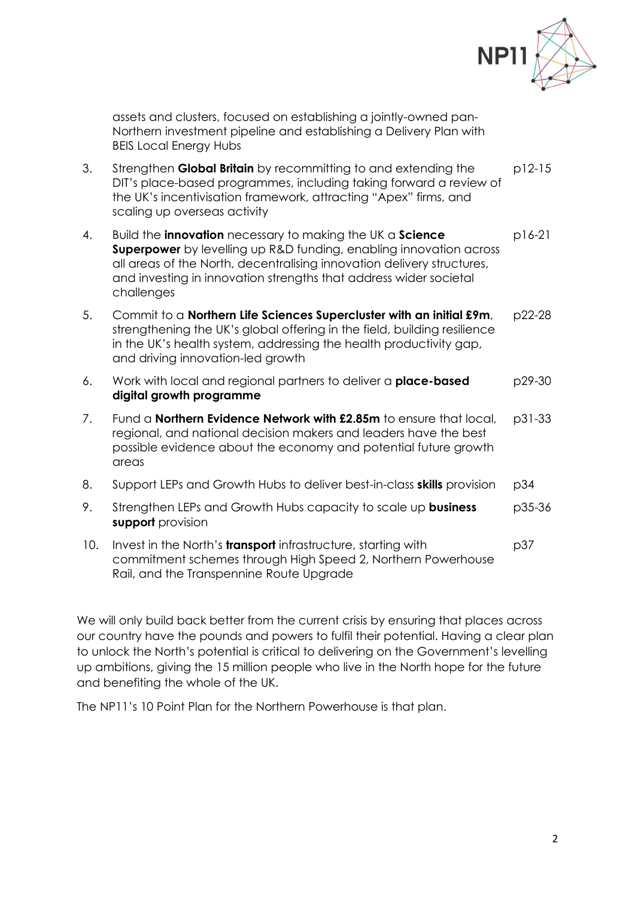

assets and clusters, focused on establishing a jointly-owned pan-Northern investment pipeline and establishing a Delivery Plan with BEIS Local Energy Hubs

- 3. Strengthen **Global Britain** by recommitting to and extending the DIT's place-based programmes, including taking forward a review of the UK's incentivisation framework, attracting "Apex" firms, and scaling up overseas activity p12-15
- 4. Build the **innovation** necessary to making the UK a **Science Superpower** by levelling up R&D funding, enabling innovation across all areas of the North, decentralising innovation delivery structures, and investing in innovation strengths that address wider societal challenges p16-21
- 5. Commit to a **Northern Life Sciences Supercluster with an initial £9m**, strengthening the UK's global offering in the field, building resilience in the UK's health system, addressing the health productivity gap, and driving innovation-led growth p22-28
- 6. Work with local and regional partners to deliver a **place-based digital growth programme** p29-30
- 7. Fund a **Northern Evidence Network with £2.85m** to ensure that local, regional, and national decision makers and leaders have the best possible evidence about the economy and potential future growth areas p31-33
- 8. Support LEPs and Growth Hubs to deliver best-in-class **skills** provision p34
- 9. Strengthen LEPs and Growth Hubs capacity to scale up **business support** provision p35-36
- 10. Invest in the North's **transport** infrastructure, starting with commitment schemes through High Speed 2, Northern Powerhouse Rail, and the Transpennine Route Upgrade p37

We will only build back better from the current crisis by ensuring that places across our country have the pounds and powers to fulfil their potential. Having a clear plan to unlock the North's potential is critical to delivering on the Government's levelling up ambitions, giving the 15 million people who live in the North hope for the future and benefiting the whole of the UK.

The NP11's 10 Point Plan for the Northern Powerhouse is that plan.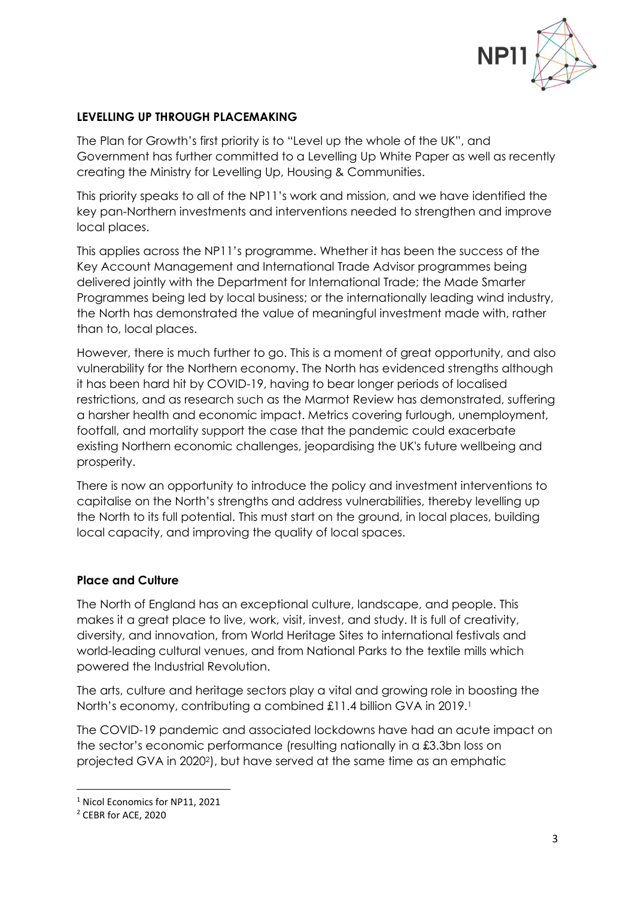

### **LEVELLING UP THROUGH PLACEMAKING**

The Plan for Growth's first priority is to "Level up the whole of the UK", and Government has further committed to a Levelling Up White Paper as well as recently creating the Ministry for Levelling Up, Housing & Communities.

This priority speaks to all of the NP11's work and mission, and we have identified the key pan-Northern investments and interventions needed to strengthen and improve local places.

This applies across the NP11's programme. Whether it has been the success of the Key Account Management and International Trade Advisor programmes being delivered jointly with the Department for International Trade; the Made Smarter Programmes being led by local business; or the internationally leading wind industry, the North has demonstrated the value of meaningful investment made with, rather than to, local places.

However, there is much further to go. This is a moment of great opportunity, and also vulnerability for the Northern economy. The North has evidenced strengths although it has been hard hit by COVID-19, having to bear longer periods of localised restrictions, and as research such as the Marmot Review has demonstrated, suffering a harsher health and economic impact. Metrics covering furlough, unemployment, footfall, and mortality support the case that the pandemic could exacerbate existing Northern economic challenges, jeopardising the UK's future wellbeing and prosperity.

There is now an opportunity to introduce the policy and investment interventions to capitalise on the North's strengths and address vulnerabilities, thereby levelling up the North to its full potential. This must start on the ground, in local places, building local capacity, and improving the quality of local spaces.

### **Place and Culture**

The North of England has an exceptional culture, landscape, and people. This makes it a great place to live, work, visit, invest, and study. It is full of creativity, diversity, and innovation, from World Heritage Sites to international festivals and world-leading cultural venues, and from National Parks to the textile mills which powered the Industrial Revolution.

The arts, culture and heritage sectors play a vital and growing role in boosting the North's economy, contributing a combined £11.4 billion GVA in 2019.<sup>1</sup>

The COVID-19 pandemic and associated lockdowns have had an acute impact on the sector's economic performance (resulting nationally in a £3.3bn loss on projected GVA in 20202), but have served at the same time as an emphatic

<sup>1</sup> Nicol Economics for NP11, 2021

<sup>2</sup> CEBR for ACE, 2020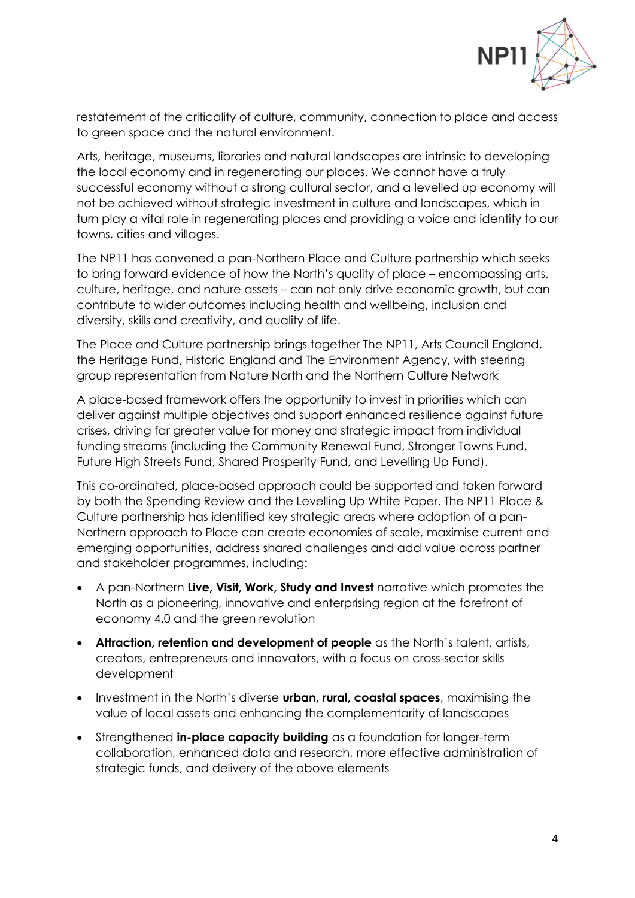

restatement of the criticality of culture, community, connection to place and access to green space and the natural environment.

Arts, heritage, museums, libraries and natural landscapes are intrinsic to developing the local economy and in regenerating our places. We cannot have a truly successful economy without a strong cultural sector, and a levelled up economy will not be achieved without strategic investment in culture and landscapes, which in turn play a vital role in regenerating places and providing a voice and identity to our towns, cities and villages.

The NP11 has convened a pan-Northern Place and Culture partnership which seeks to bring forward evidence of how the North's quality of place – encompassing arts, culture, heritage, and nature assets – can not only drive economic growth, but can contribute to wider outcomes including health and wellbeing, inclusion and diversity, skills and creativity, and quality of life.

The Place and Culture partnership brings together The NP11, Arts Council England, the Heritage Fund, Historic England and The Environment Agency, with steering group representation from Nature North and the Northern Culture Network

A place-based framework offers the opportunity to invest in priorities which can deliver against multiple objectives and support enhanced resilience against future crises, driving far greater value for money and strategic impact from individual funding streams (including the Community Renewal Fund, Stronger Towns Fund, Future High Streets Fund, Shared Prosperity Fund, and Levelling Up Fund).

This co-ordinated, place-based approach could be supported and taken forward by both the Spending Review and the Levelling Up White Paper. The NP11 Place & Culture partnership has identified key strategic areas where adoption of a pan-Northern approach to Place can create economies of scale, maximise current and emerging opportunities, address shared challenges and add value across partner and stakeholder programmes, including:

- A pan-Northern **Live, Visit, Work, Study and Invest** narrative which promotes the North as a pioneering, innovative and enterprising region at the forefront of economy 4.0 and the green revolution
- **Attraction, retention and development of people** as the North's talent, artists, creators, entrepreneurs and innovators, with a focus on cross-sector skills development
- Investment in the North's diverse **urban, rural, coastal spaces**, maximising the value of local assets and enhancing the complementarity of landscapes
- Strengthened **in-place capacity building** as a foundation for longer-term collaboration, enhanced data and research, more effective administration of strategic funds, and delivery of the above elements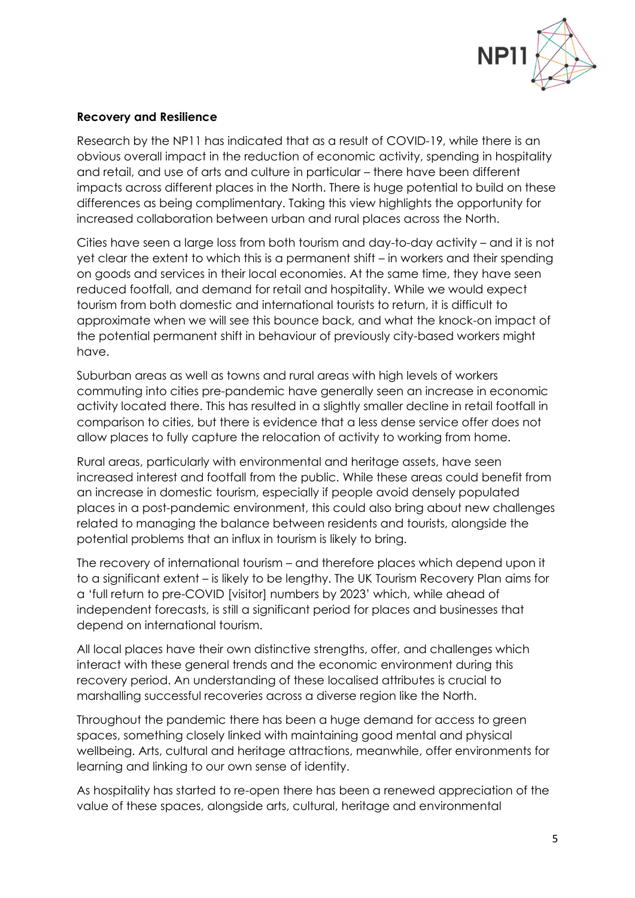

#### **Recovery and Resilience**

Research by the NP11 has indicated that as a result of COVID-19, while there is an obvious overall impact in the reduction of economic activity, spending in hospitality and retail, and use of arts and culture in particular – there have been different impacts across different places in the North. There is huge potential to build on these differences as being complimentary. Taking this view highlights the opportunity for increased collaboration between urban and rural places across the North.

Cities have seen a large loss from both tourism and day-to-day activity – and it is not yet clear the extent to which this is a permanent shift – in workers and their spending on goods and services in their local economies. At the same time, they have seen reduced footfall, and demand for retail and hospitality. While we would expect tourism from both domestic and international tourists to return, it is difficult to approximate when we will see this bounce back, and what the knock-on impact of the potential permanent shift in behaviour of previously city-based workers might have.

Suburban areas as well as towns and rural areas with high levels of workers commuting into cities pre-pandemic have generally seen an increase in economic activity located there. This has resulted in a slightly smaller decline in retail footfall in comparison to cities, but there is evidence that a less dense service offer does not allow places to fully capture the relocation of activity to working from home.

Rural areas, particularly with environmental and heritage assets, have seen increased interest and footfall from the public. While these areas could benefit from an increase in domestic tourism, especially if people avoid densely populated places in a post-pandemic environment, this could also bring about new challenges related to managing the balance between residents and tourists, alongside the potential problems that an influx in tourism is likely to bring.

The recovery of international tourism – and therefore places which depend upon it to a significant extent – is likely to be lengthy. The UK Tourism Recovery Plan aims for a 'full return to pre-COVID [visitor] numbers by 2023' which, while ahead of independent forecasts, is still a significant period for places and businesses that depend on international tourism.

All local places have their own distinctive strengths, offer, and challenges which interact with these general trends and the economic environment during this recovery period. An understanding of these localised attributes is crucial to marshalling successful recoveries across a diverse region like the North.

Throughout the pandemic there has been a huge demand for access to green spaces, something closely linked with maintaining good mental and physical wellbeing. Arts, cultural and heritage attractions, meanwhile, offer environments for learning and linking to our own sense of identity.

As hospitality has started to re-open there has been a renewed appreciation of the value of these spaces, alongside arts, cultural, heritage and environmental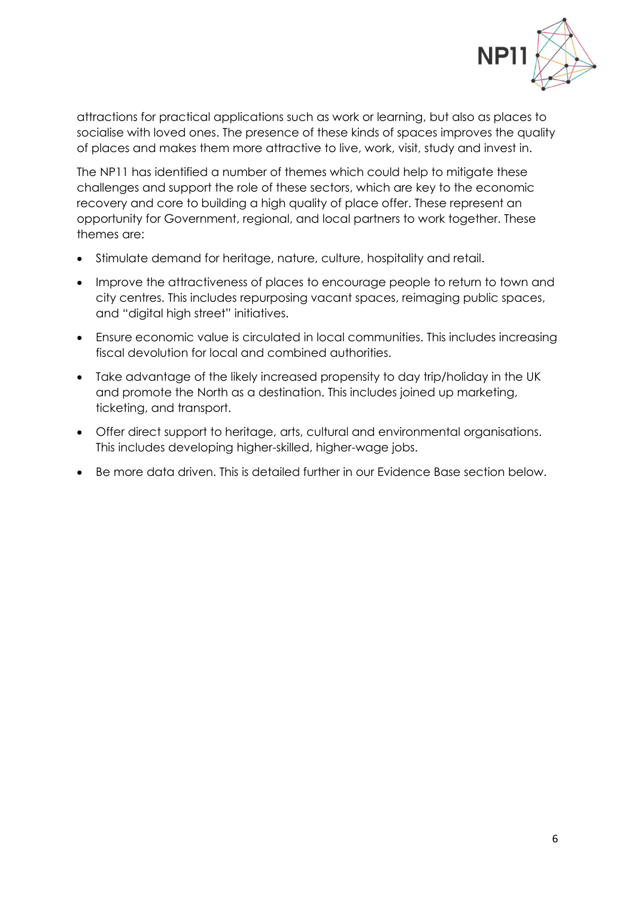

attractions for practical applications such as work or learning, but also as places to socialise with loved ones. The presence of these kinds of spaces improves the quality of places and makes them more attractive to live, work, visit, study and invest in.

The NP11 has identified a number of themes which could help to mitigate these challenges and support the role of these sectors, which are key to the economic recovery and core to building a high quality of place offer. These represent an opportunity for Government, regional, and local partners to work together. These themes are:

- Stimulate demand for heritage, nature, culture, hospitality and retail.
- Improve the attractiveness of places to encourage people to return to town and city centres. This includes repurposing vacant spaces, reimaging public spaces, and "digital high street" initiatives.
- Ensure economic value is circulated in local communities. This includes increasing fiscal devolution for local and combined authorities.
- Take advantage of the likely increased propensity to day trip/holiday in the UK and promote the North as a destination. This includes joined up marketing, ticketing, and transport.
- Offer direct support to heritage, arts, cultural and environmental organisations. This includes developing higher-skilled, higher-wage jobs.
- Be more data driven. This is detailed further in our Evidence Base section below.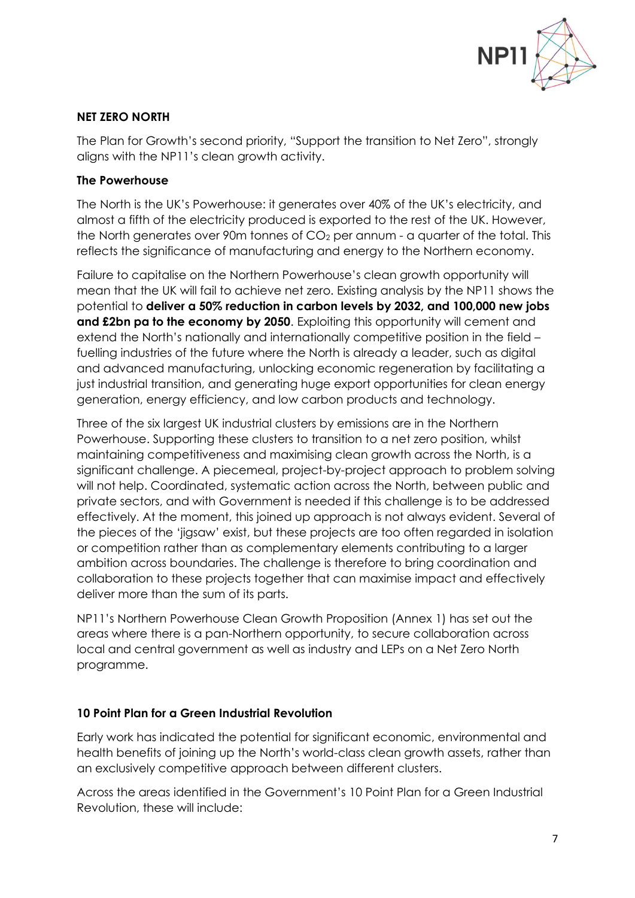

## **NET ZERO NORTH**

The Plan for Growth's second priority, "Support the transition to Net Zero", strongly aligns with the NP11's clean growth activity.

### **The Powerhouse**

The North is the UK's Powerhouse: it generates over 40% of the UK's electricity, and almost a fifth of the electricity produced is exported to the rest of the UK. However, the North generates over 90m tonnes of  $CO<sub>2</sub>$  per annum - a quarter of the total. This reflects the significance of manufacturing and energy to the Northern economy.

Failure to capitalise on the Northern Powerhouse's clean growth opportunity will mean that the UK will fail to achieve net zero. Existing analysis by the NP11 shows the potential to **deliver a 50% reduction in carbon levels by 2032, and 100,000 new jobs and £2bn pa to the economy by 2050**. Exploiting this opportunity will cement and extend the North's nationally and internationally competitive position in the field – fuelling industries of the future where the North is already a leader, such as digital and advanced manufacturing, unlocking economic regeneration by facilitating a just industrial transition, and generating huge export opportunities for clean energy generation, energy efficiency, and low carbon products and technology.

Three of the six largest UK industrial clusters by emissions are in the Northern Powerhouse. Supporting these clusters to transition to a net zero position, whilst maintaining competitiveness and maximising clean growth across the North, is a significant challenge. A piecemeal, project-by-project approach to problem solving will not help. Coordinated, systematic action across the North, between public and private sectors, and with Government is needed if this challenge is to be addressed effectively. At the moment, this joined up approach is not always evident. Several of the pieces of the 'jigsaw' exist, but these projects are too often regarded in isolation or competition rather than as complementary elements contributing to a larger ambition across boundaries. The challenge is therefore to bring coordination and collaboration to these projects together that can maximise impact and effectively deliver more than the sum of its parts.

NP11's Northern Powerhouse Clean Growth Proposition (Annex 1) has set out the areas where there is a pan-Northern opportunity, to secure collaboration across local and central government as well as industry and LEPs on a Net Zero North programme.

# **10 Point Plan for a Green Industrial Revolution**

Early work has indicated the potential for significant economic, environmental and health benefits of joining up the North's world-class clean growth assets, rather than an exclusively competitive approach between different clusters.

Across the areas identified in the Government's 10 Point Plan for a Green Industrial Revolution, these will include: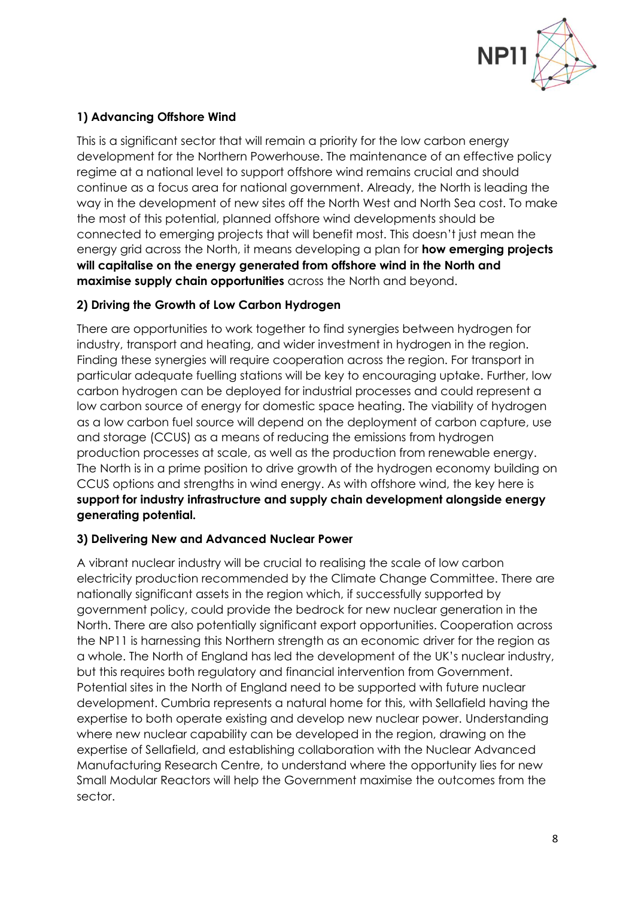

# **1) Advancing Offshore Wind**

This is a significant sector that will remain a priority for the low carbon energy development for the Northern Powerhouse. The maintenance of an effective policy regime at a national level to support offshore wind remains crucial and should continue as a focus area for national government. Already, the North is leading the way in the development of new sites off the North West and North Sea cost. To make the most of this potential, planned offshore wind developments should be connected to emerging projects that will benefit most. This doesn't just mean the energy grid across the North, it means developing a plan for **how emerging projects will capitalise on the energy generated from offshore wind in the North and maximise supply chain opportunities** across the North and beyond.

# **2) Driving the Growth of Low Carbon Hydrogen**

There are opportunities to work together to find synergies between hydrogen for industry, transport and heating, and wider investment in hydrogen in the region. Finding these synergies will require cooperation across the region. For transport in particular adequate fuelling stations will be key to encouraging uptake. Further, low carbon hydrogen can be deployed for industrial processes and could represent a low carbon source of energy for domestic space heating. The viability of hydrogen as a low carbon fuel source will depend on the deployment of carbon capture, use and storage (CCUS) as a means of reducing the emissions from hydrogen production processes at scale, as well as the production from renewable energy. The North is in a prime position to drive growth of the hydrogen economy building on CCUS options and strengths in wind energy. As with offshore wind, the key here is **support for industry infrastructure and supply chain development alongside energy generating potential.**

# **3) Delivering New and Advanced Nuclear Power**

A vibrant nuclear industry will be crucial to realising the scale of low carbon electricity production recommended by the Climate Change Committee. There are nationally significant assets in the region which, if successfully supported by government policy, could provide the bedrock for new nuclear generation in the North. There are also potentially significant export opportunities. Cooperation across the NP11 is harnessing this Northern strength as an economic driver for the region as a whole. The North of England has led the development of the UK's nuclear industry, but this requires both regulatory and financial intervention from Government. Potential sites in the North of England need to be supported with future nuclear development. Cumbria represents a natural home for this, with Sellafield having the expertise to both operate existing and develop new nuclear power. Understanding where new nuclear capability can be developed in the region, drawing on the expertise of Sellafield, and establishing collaboration with the Nuclear Advanced Manufacturing Research Centre, to understand where the opportunity lies for new Small Modular Reactors will help the Government maximise the outcomes from the sector.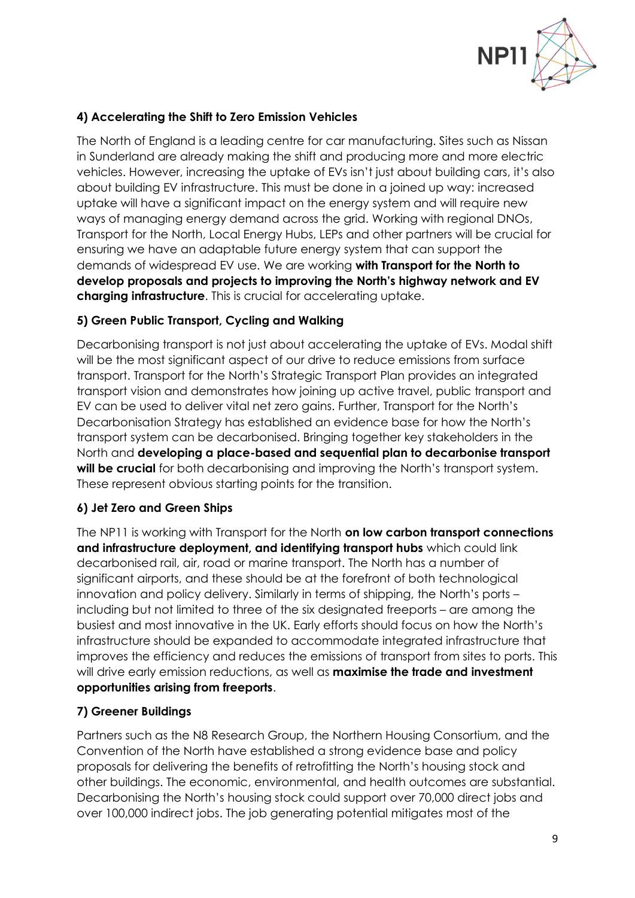

# **4) Accelerating the Shift to Zero Emission Vehicles**

The North of England is a leading centre for car manufacturing. Sites such as Nissan in Sunderland are already making the shift and producing more and more electric vehicles. However, increasing the uptake of EVs isn't just about building cars, it's also about building EV infrastructure. This must be done in a joined up way: increased uptake will have a significant impact on the energy system and will require new ways of managing energy demand across the grid. Working with regional DNOs, Transport for the North, Local Energy Hubs, LEPs and other partners will be crucial for ensuring we have an adaptable future energy system that can support the demands of widespread EV use. We are working **with Transport for the North to develop proposals and projects to improving the North's highway network and EV charging infrastructure**. This is crucial for accelerating uptake.

## **5) Green Public Transport, Cycling and Walking**

Decarbonising transport is not just about accelerating the uptake of EVs. Modal shift will be the most significant aspect of our drive to reduce emissions from surface transport. Transport for the North's Strategic Transport Plan provides an integrated transport vision and demonstrates how joining up active travel, public transport and EV can be used to deliver vital net zero gains. Further, Transport for the North's Decarbonisation Strategy has established an evidence base for how the North's transport system can be decarbonised. Bringing together key stakeholders in the North and **developing a place-based and sequential plan to decarbonise transport**  will be crucial for both decarbonising and improving the North's transport system. These represent obvious starting points for the transition.

### **6) Jet Zero and Green Ships**

The NP11 is working with Transport for the North **on low carbon transport connections and infrastructure deployment, and identifying transport hubs** which could link decarbonised rail, air, road or marine transport. The North has a number of significant airports, and these should be at the forefront of both technological innovation and policy delivery. Similarly in terms of shipping, the North's ports – including but not limited to three of the six designated freeports – are among the busiest and most innovative in the UK. Early efforts should focus on how the North's infrastructure should be expanded to accommodate integrated infrastructure that improves the efficiency and reduces the emissions of transport from sites to ports. This will drive early emission reductions, as well as **maximise the trade and investment opportunities arising from freeports**.

# **7) Greener Buildings**

Partners such as the N8 Research Group, the Northern Housing Consortium, and the Convention of the North have established a strong evidence base and policy proposals for delivering the benefits of retrofitting the North's housing stock and other buildings. The economic, environmental, and health outcomes are substantial. Decarbonising the North's housing stock could support over 70,000 direct jobs and over 100,000 indirect jobs. The job generating potential mitigates most of the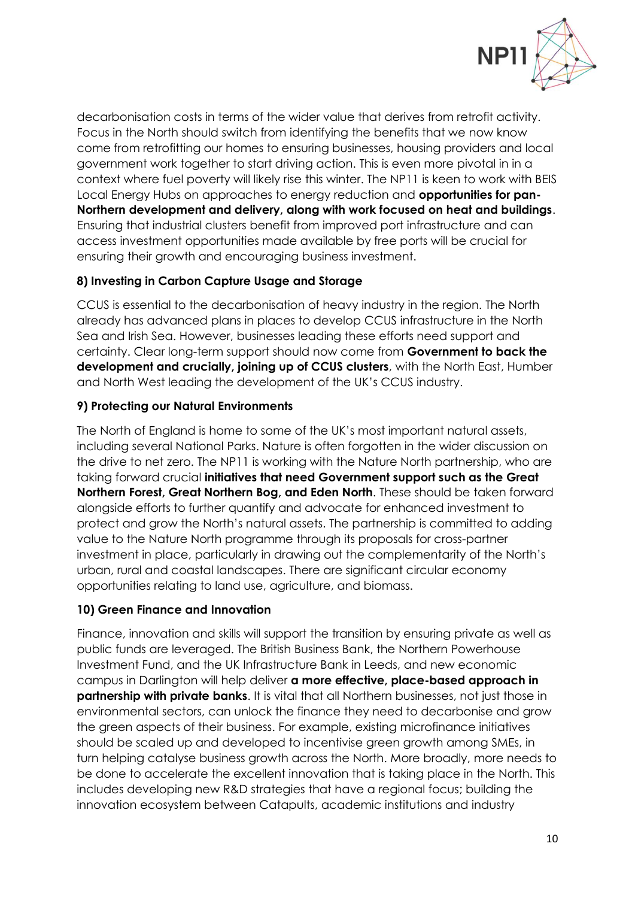

decarbonisation costs in terms of the wider value that derives from retrofit activity. Focus in the North should switch from identifying the benefits that we now know come from retrofitting our homes to ensuring businesses, housing providers and local government work together to start driving action. This is even more pivotal in in a context where fuel poverty will likely rise this winter. The NP11 is keen to work with BEIS Local Energy Hubs on approaches to energy reduction and **opportunities for pan-Northern development and delivery, along with work focused on heat and buildings**. Ensuring that industrial clusters benefit from improved port infrastructure and can access investment opportunities made available by free ports will be crucial for ensuring their growth and encouraging business investment.

# **8) Investing in Carbon Capture Usage and Storage**

CCUS is essential to the decarbonisation of heavy industry in the region. The North already has advanced plans in places to develop CCUS infrastructure in the North Sea and Irish Sea. However, businesses leading these efforts need support and certainty. Clear long-term support should now come from **Government to back the development and crucially, joining up of CCUS clusters**, with the North East, Humber and North West leading the development of the UK's CCUS industry.

## **9) Protecting our Natural Environments**

The North of England is home to some of the UK's most important natural assets, including several National Parks. Nature is often forgotten in the wider discussion on the drive to net zero. The NP11 is working with the Nature North partnership, who are taking forward crucial **initiatives that need Government support such as the Great Northern Forest, Great Northern Bog, and Eden North**. These should be taken forward alongside efforts to further quantify and advocate for enhanced investment to protect and grow the North's natural assets. The partnership is committed to adding value to the Nature North programme through its proposals for cross-partner investment in place, particularly in drawing out the complementarity of the North's urban, rural and coastal landscapes. There are significant circular economy opportunities relating to land use, agriculture, and biomass.

# **10) Green Finance and Innovation**

Finance, innovation and skills will support the transition by ensuring private as well as public funds are leveraged. The British Business Bank, the Northern Powerhouse Investment Fund, and the UK Infrastructure Bank in Leeds, and new economic campus in Darlington will help deliver **a more effective, place-based approach in partnership with private banks**. It is vital that all Northern businesses, not just those in environmental sectors, can unlock the finance they need to decarbonise and grow the green aspects of their business. For example, existing microfinance initiatives should be scaled up and developed to incentivise green growth among SMEs, in turn helping catalyse business growth across the North. More broadly, more needs to be done to accelerate the excellent innovation that is taking place in the North. This includes developing new R&D strategies that have a regional focus; building the innovation ecosystem between Catapults, academic institutions and industry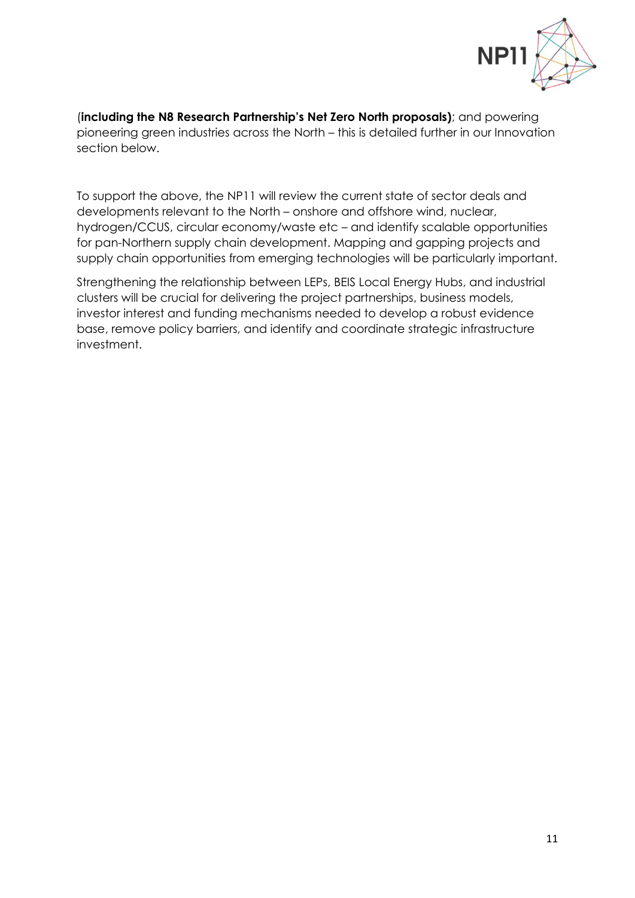

(**including the N8 Research Partnership's Net Zero North proposals)**; and powering pioneering green industries across the North – this is detailed further in our Innovation section below.

To support the above, the NP11 will review the current state of sector deals and developments relevant to the North – onshore and offshore wind, nuclear, hydrogen/CCUS, circular economy/waste etc – and identify scalable opportunities for pan-Northern supply chain development. Mapping and gapping projects and supply chain opportunities from emerging technologies will be particularly important.

Strengthening the relationship between LEPs, BEIS Local Energy Hubs, and industrial clusters will be crucial for delivering the project partnerships, business models, investor interest and funding mechanisms needed to develop a robust evidence base, remove policy barriers, and identify and coordinate strategic infrastructure investment.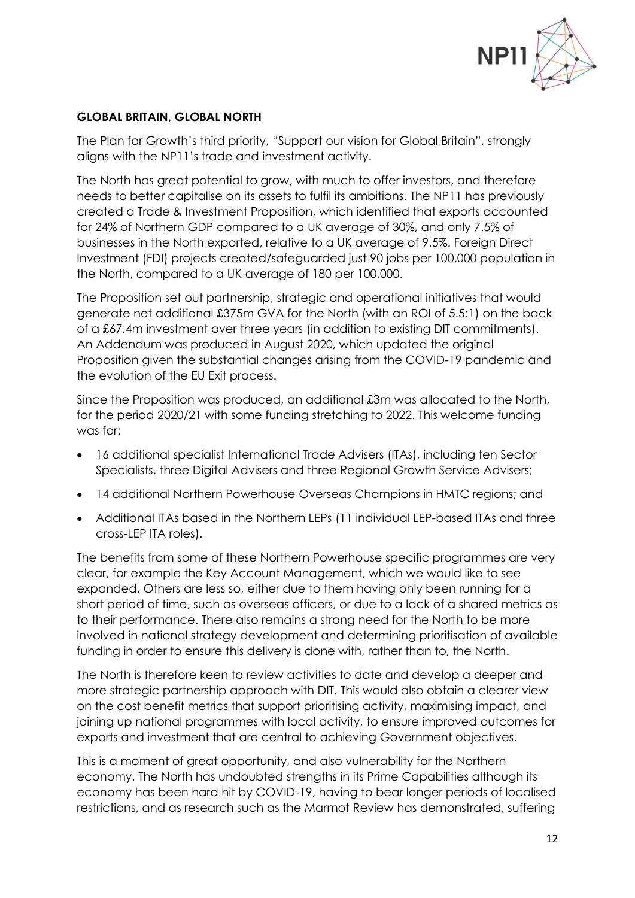

### **GLOBAL BRITAIN, GLOBAL NORTH**

The Plan for Growth's third priority, "Support our vision for Global Britain", strongly aligns with the NP11's trade and investment activity.

The North has great potential to grow, with much to offer investors, and therefore needs to better capitalise on its assets to fulfil its ambitions. The NP11 has previously created a Trade & Investment Proposition, which identified that exports accounted for 24% of Northern GDP compared to a UK average of 30%, and only 7.5% of businesses in the North exported, relative to a UK average of 9.5%. Foreign Direct Investment (FDI) projects created/safeguarded just 90 jobs per 100,000 population in the North, compared to a UK average of 180 per 100,000.

The Proposition set out partnership, strategic and operational initiatives that would generate net additional £375m GVA for the North (with an ROI of 5.5:1) on the back of a £67.4m investment over three years (in addition to existing DIT commitments). An Addendum was produced in August 2020, which updated the original Proposition given the substantial changes arising from the COVID-19 pandemic and the evolution of the EU Exit process.

Since the Proposition was produced, an additional £3m was allocated to the North, for the period 2020/21 with some funding stretching to 2022. This welcome funding was for:

- 16 additional specialist International Trade Advisers (ITAs), including ten Sector Specialists, three Digital Advisers and three Regional Growth Service Advisers;
- 14 additional Northern Powerhouse Overseas Champions in HMTC regions; and
- Additional ITAs based in the Northern LEPs (11 individual LEP-based ITAs and three cross-LEP ITA roles).

The benefits from some of these Northern Powerhouse specific programmes are very clear, for example the Key Account Management, which we would like to see expanded. Others are less so, either due to them having only been running for a short period of time, such as overseas officers, or due to a lack of a shared metrics as to their performance. There also remains a strong need for the North to be more involved in national strategy development and determining prioritisation of available funding in order to ensure this delivery is done with, rather than to, the North.

The North is therefore keen to review activities to date and develop a deeper and more strategic partnership approach with DIT. This would also obtain a clearer view on the cost benefit metrics that support prioritising activity, maximising impact, and joining up national programmes with local activity, to ensure improved outcomes for exports and investment that are central to achieving Government objectives.

This is a moment of great opportunity, and also vulnerability for the Northern economy. The North has undoubted strengths in its Prime Capabilities although its economy has been hard hit by COVID-19, having to bear longer periods of localised restrictions, and as research such as the Marmot Review has demonstrated, suffering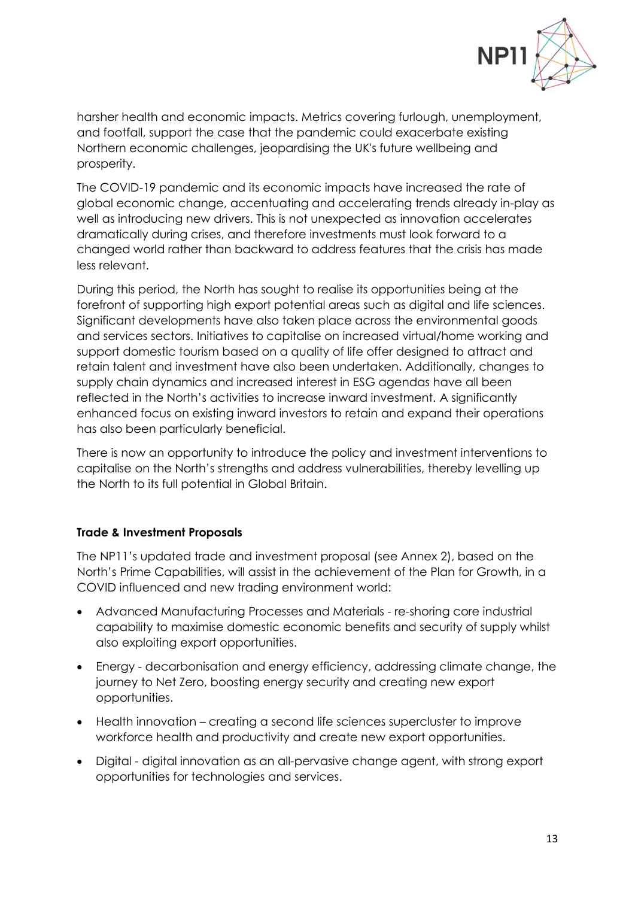

harsher health and economic impacts. Metrics covering furlough, unemployment, and footfall, support the case that the pandemic could exacerbate existing Northern economic challenges, jeopardising the UK's future wellbeing and prosperity.

The COVID-19 pandemic and its economic impacts have increased the rate of global economic change, accentuating and accelerating trends already in-play as well as introducing new drivers. This is not unexpected as innovation accelerates dramatically during crises, and therefore investments must look forward to a changed world rather than backward to address features that the crisis has made less relevant.

During this period, the North has sought to realise its opportunities being at the forefront of supporting high export potential areas such as digital and life sciences. Significant developments have also taken place across the environmental goods and services sectors. Initiatives to capitalise on increased virtual/home working and support domestic tourism based on a quality of life offer designed to attract and retain talent and investment have also been undertaken. Additionally, changes to supply chain dynamics and increased interest in ESG agendas have all been reflected in the North's activities to increase inward investment. A significantly enhanced focus on existing inward investors to retain and expand their operations has also been particularly beneficial.

There is now an opportunity to introduce the policy and investment interventions to capitalise on the North's strengths and address vulnerabilities, thereby levelling up the North to its full potential in Global Britain.

### **Trade & Investment Proposals**

The NP11's updated trade and investment proposal (see Annex 2), based on the North's Prime Capabilities, will assist in the achievement of the Plan for Growth, in a COVID influenced and new trading environment world:

- Advanced Manufacturing Processes and Materials re-shoring core industrial capability to maximise domestic economic benefits and security of supply whilst also exploiting export opportunities.
- Energy decarbonisation and energy efficiency, addressing climate change, the journey to Net Zero, boosting energy security and creating new export opportunities.
- Health innovation creating a second life sciences supercluster to improve workforce health and productivity and create new export opportunities.
- Digital digital innovation as an all-pervasive change agent, with strong export opportunities for technologies and services.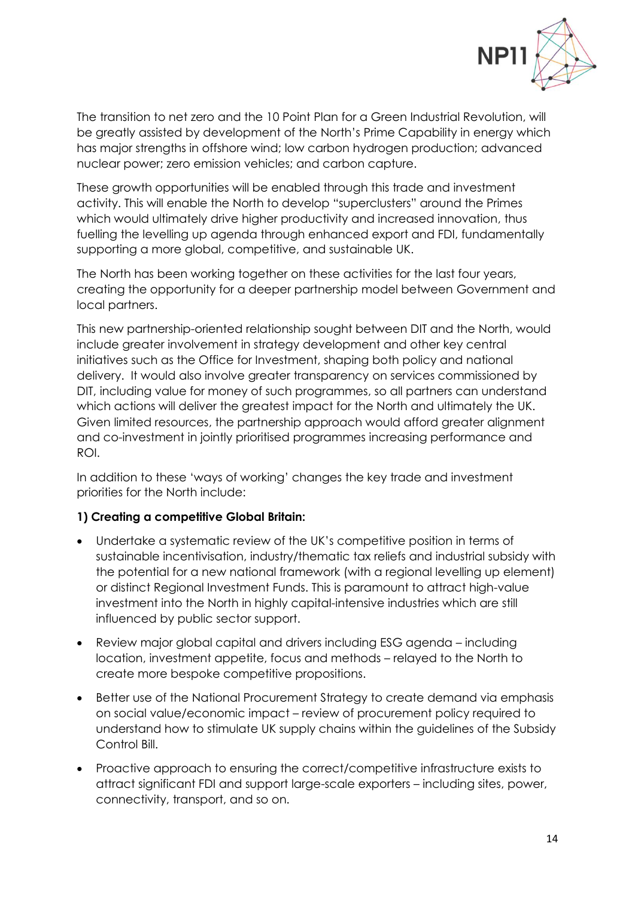

The transition to net zero and the 10 Point Plan for a Green Industrial Revolution, will be greatly assisted by development of the North's Prime Capability in energy which has major strengths in offshore wind; low carbon hydrogen production; advanced nuclear power; zero emission vehicles; and carbon capture.

These growth opportunities will be enabled through this trade and investment activity. This will enable the North to develop "superclusters" around the Primes which would ultimately drive higher productivity and increased innovation, thus fuelling the levelling up agenda through enhanced export and FDI, fundamentally supporting a more global, competitive, and sustainable UK.

The North has been working together on these activities for the last four years, creating the opportunity for a deeper partnership model between Government and local partners.

This new partnership-oriented relationship sought between DIT and the North, would include greater involvement in strategy development and other key central initiatives such as the Office for Investment, shaping both policy and national delivery. It would also involve greater transparency on services commissioned by DIT, including value for money of such programmes, so all partners can understand which actions will deliver the greatest impact for the North and ultimately the UK. Given limited resources, the partnership approach would afford greater alignment and co-investment in jointly prioritised programmes increasing performance and ROI.

In addition to these 'ways of working' changes the key trade and investment priorities for the North include:

### **1) Creating a competitive Global Britain:**

- Undertake a systematic review of the UK's competitive position in terms of sustainable incentivisation, industry/thematic tax reliefs and industrial subsidy with the potential for a new national framework (with a regional levelling up element) or distinct Regional Investment Funds. This is paramount to attract high-value investment into the North in highly capital-intensive industries which are still influenced by public sector support.
- Review major global capital and drivers including ESG agenda including location, investment appetite, focus and methods – relayed to the North to create more bespoke competitive propositions.
- Better use of the National Procurement Strategy to create demand via emphasis on social value/economic impact – review of procurement policy required to understand how to stimulate UK supply chains within the guidelines of the Subsidy Control Bill.
- Proactive approach to ensuring the correct/competitive infrastructure exists to attract significant FDI and support large-scale exporters – including sites, power, connectivity, transport, and so on.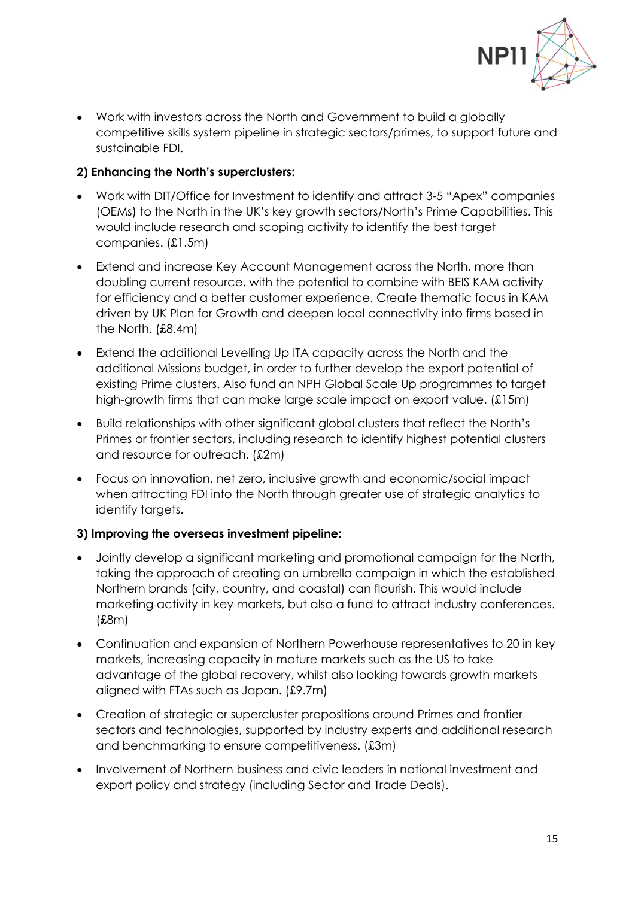

• Work with investors across the North and Government to build a globally competitive skills system pipeline in strategic sectors/primes, to support future and sustainable FDI.

# **2) Enhancing the North's superclusters:**

- Work with DIT/Office for Investment to identify and attract 3-5 "Apex" companies (OEMs) to the North in the UK's key growth sectors/North's Prime Capabilities. This would include research and scoping activity to identify the best target companies. (£1.5m)
- Extend and increase Key Account Management across the North, more than doubling current resource, with the potential to combine with BEIS KAM activity for efficiency and a better customer experience. Create thematic focus in KAM driven by UK Plan for Growth and deepen local connectivity into firms based in the North. (£8.4m)
- Extend the additional Levelling Up ITA capacity across the North and the additional Missions budget, in order to further develop the export potential of existing Prime clusters. Also fund an NPH Global Scale Up programmes to target high-growth firms that can make large scale impact on export value. (£15m)
- Build relationships with other significant global clusters that reflect the North's Primes or frontier sectors, including research to identify highest potential clusters and resource for outreach. (£2m)
- Focus on innovation, net zero, inclusive growth and economic/social impact when attracting FDI into the North through greater use of strategic analytics to identify targets.

# **3) Improving the overseas investment pipeline:**

- Jointly develop a significant marketing and promotional campaign for the North, taking the approach of creating an umbrella campaign in which the established Northern brands (city, country, and coastal) can flourish. This would include marketing activity in key markets, but also a fund to attract industry conferences. (£8m)
- Continuation and expansion of Northern Powerhouse representatives to 20 in key markets, increasing capacity in mature markets such as the US to take advantage of the global recovery, whilst also looking towards growth markets aligned with FTAs such as Japan. (£9.7m)
- Creation of strategic or supercluster propositions around Primes and frontier sectors and technologies, supported by industry experts and additional research and benchmarking to ensure competitiveness. (£3m)
- Involvement of Northern business and civic leaders in national investment and export policy and strategy (including Sector and Trade Deals).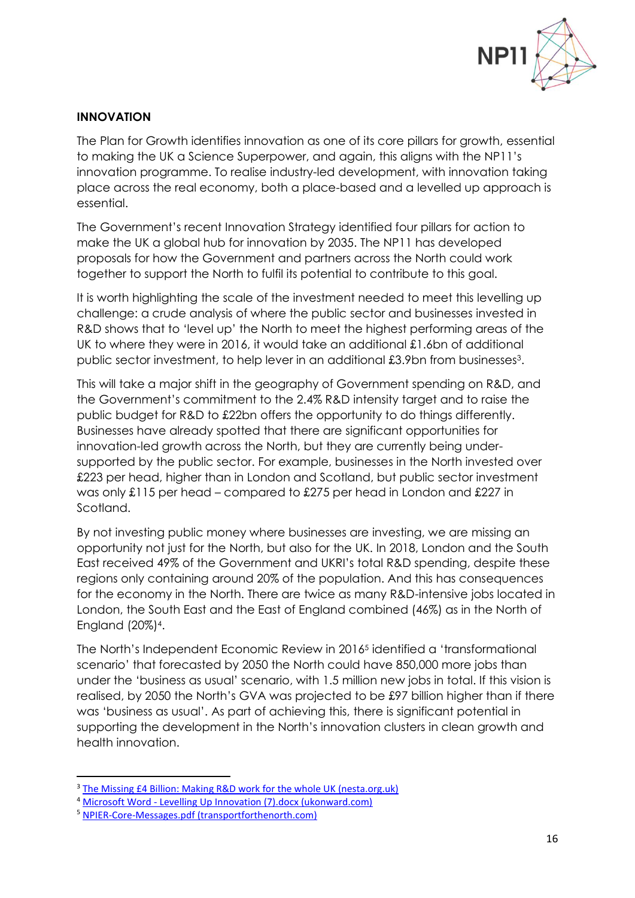

#### **INNOVATION**

The Plan for Growth identifies innovation as one of its core pillars for growth, essential to making the UK a Science Superpower, and again, this aligns with the NP11's innovation programme. To realise industry-led development, with innovation taking place across the real economy, both a place-based and a levelled up approach is essential.

The Government's recent Innovation Strategy identified four pillars for action to make the UK a global hub for innovation by 2035. The NP11 has developed proposals for how the Government and partners across the North could work together to support the North to fulfil its potential to contribute to this goal.

It is worth highlighting the scale of the investment needed to meet this levelling up challenge: a crude analysis of where the public sector and businesses invested in R&D shows that to 'level up' the North to meet the highest performing areas of the UK to where they were in 2016, it would take an additional £1.6bn of additional public sector investment, to help lever in an additional £3.9bn from businesses<sup>3</sup>.

This will take a major shift in the geography of Government spending on R&D, and the Government's commitment to the 2.4% R&D intensity target and to raise the public budget for R&D to £22bn offers the opportunity to do things differently. Businesses have already spotted that there are significant opportunities for innovation-led growth across the North, but they are currently being undersupported by the public sector. For example, businesses in the North invested over £223 per head, higher than in London and Scotland, but public sector investment was only £115 per head – compared to £275 per head in London and £227 in Scotland.

By not investing public money where businesses are investing, we are missing an opportunity not just for the North, but also for the UK. In 2018, London and the South East received 49% of the Government and UKRI's total R&D spending, despite these regions only containing around 20% of the population. And this has consequences for the economy in the North. There are twice as many R&D-intensive jobs located in London, the South East and the East of England combined (46%) as in the North of England (20%)<sup>4</sup> .

The North's Independent Economic Review in 2016<sup>5</sup> identified a 'transformational scenario' that forecasted by 2050 the North could have 850,000 more jobs than under the 'business as usual' scenario, with 1.5 million new jobs in total. If this vision is realised, by 2050 the North's GVA was projected to be £97 billion higher than if there was 'business as usual'. As part of achieving this, there is significant potential in supporting the development in the North's innovation clusters in clean growth and health innovation.

<sup>3</sup> [The Missing £4 Billion: Making R&D work for the whole UK \(nesta.org.uk\)](https://media.nesta.org.uk/documents/The_Missing_4_Billion_Making_RD_work_for_the_whole_UK_v4.pdf)

<sup>4</sup> Microsoft Word - [Levelling Up Innovation \(7\).docx \(ukonward.com\)](https://www.ukonward.com/wp-content/uploads/2021/02/Onward-Levelling-Up-Innovation-.pdf)

<sup>5</sup> [NPIER-Core-Messages.pdf \(transportforthenorth.com\)](https://www.transportforthenorth.com/wp-content/uploads/NPIER-Core-Messages.pdf#:~:text=The%20Northern%20Powerhouse%20Independent%20Economic%20Review%20has%20been,approach%20to%20benefit%20the%20whole%20of%20the%20North.)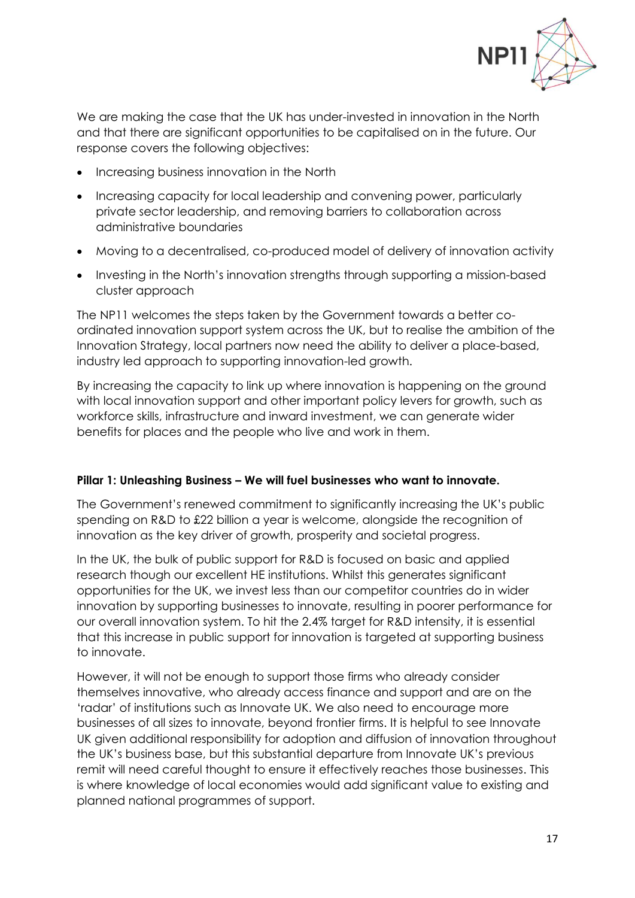

We are making the case that the UK has under-invested in innovation in the North and that there are significant opportunities to be capitalised on in the future. Our response covers the following objectives:

- Increasing business innovation in the North
- Increasing capacity for local leadership and convening power, particularly private sector leadership, and removing barriers to collaboration across administrative boundaries
- Moving to a decentralised, co-produced model of delivery of innovation activity
- Investing in the North's innovation strengths through supporting a mission-based cluster approach

The NP11 welcomes the steps taken by the Government towards a better coordinated innovation support system across the UK, but to realise the ambition of the Innovation Strategy, local partners now need the ability to deliver a place-based, industry led approach to supporting innovation-led growth.

By increasing the capacity to link up where innovation is happening on the ground with local innovation support and other important policy levers for growth, such as workforce skills, infrastructure and inward investment, we can generate wider benefits for places and the people who live and work in them.

# **Pillar 1: Unleashing Business – We will fuel businesses who want to innovate.**

The Government's renewed commitment to significantly increasing the UK's public spending on R&D to £22 billion a year is welcome, alongside the recognition of innovation as the key driver of growth, prosperity and societal progress.

In the UK, the bulk of public support for R&D is focused on basic and applied research though our excellent HE institutions. Whilst this generates significant opportunities for the UK, we invest less than our competitor countries do in wider innovation by supporting businesses to innovate, resulting in poorer performance for our overall innovation system. To hit the 2.4% target for R&D intensity, it is essential that this increase in public support for innovation is targeted at supporting business to innovate.

However, it will not be enough to support those firms who already consider themselves innovative, who already access finance and support and are on the 'radar' of institutions such as Innovate UK. We also need to encourage more businesses of all sizes to innovate, beyond frontier firms. It is helpful to see Innovate UK given additional responsibility for adoption and diffusion of innovation throughout the UK's business base, but this substantial departure from Innovate UK's previous remit will need careful thought to ensure it effectively reaches those businesses. This is where knowledge of local economies would add significant value to existing and planned national programmes of support.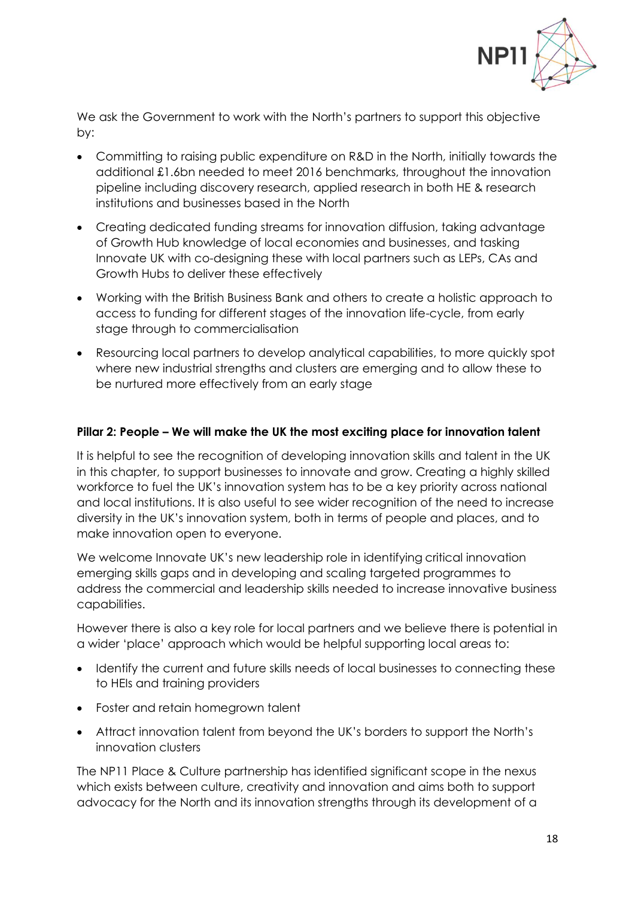

We ask the Government to work with the North's partners to support this objective by:

- Committing to raising public expenditure on R&D in the North, initially towards the additional £1.6bn needed to meet 2016 benchmarks, throughout the innovation pipeline including discovery research, applied research in both HE & research institutions and businesses based in the North
- Creating dedicated funding streams for innovation diffusion, taking advantage of Growth Hub knowledge of local economies and businesses, and tasking Innovate UK with co-designing these with local partners such as LEPs, CAs and Growth Hubs to deliver these effectively
- Working with the British Business Bank and others to create a holistic approach to access to funding for different stages of the innovation life-cycle, from early stage through to commercialisation
- Resourcing local partners to develop analytical capabilities, to more quickly spot where new industrial strengths and clusters are emerging and to allow these to be nurtured more effectively from an early stage

### **Pillar 2: People – We will make the UK the most exciting place for innovation talent**

It is helpful to see the recognition of developing innovation skills and talent in the UK in this chapter, to support businesses to innovate and grow. Creating a highly skilled workforce to fuel the UK's innovation system has to be a key priority across national and local institutions. It is also useful to see wider recognition of the need to increase diversity in the UK's innovation system, both in terms of people and places, and to make innovation open to everyone.

We welcome Innovate UK's new leadership role in identifying critical innovation emerging skills gaps and in developing and scaling targeted programmes to address the commercial and leadership skills needed to increase innovative business capabilities.

However there is also a key role for local partners and we believe there is potential in a wider 'place' approach which would be helpful supporting local areas to:

- Identify the current and future skills needs of local businesses to connecting these to HEIs and training providers
- Foster and retain homegrown talent
- Attract innovation talent from beyond the UK's borders to support the North's innovation clusters

The NP11 Place & Culture partnership has identified significant scope in the nexus which exists between culture, creativity and innovation and aims both to support advocacy for the North and its innovation strengths through its development of a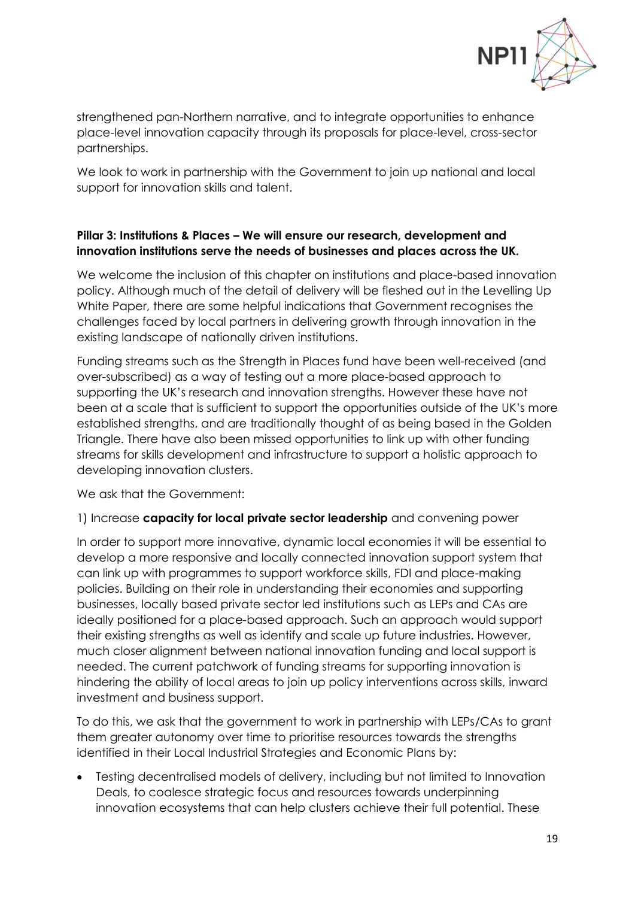

strengthened pan-Northern narrative, and to integrate opportunities to enhance place-level innovation capacity through its proposals for place-level, cross-sector partnerships.

We look to work in partnership with the Government to join up national and local support for innovation skills and talent.

## **Pillar 3: Institutions & Places – We will ensure our research, development and innovation institutions serve the needs of businesses and places across the UK.**

We welcome the inclusion of this chapter on institutions and place-based innovation policy. Although much of the detail of delivery will be fleshed out in the Levelling Up White Paper, there are some helpful indications that Government recognises the challenges faced by local partners in delivering growth through innovation in the existing landscape of nationally driven institutions.

Funding streams such as the Strength in Places fund have been well-received (and over-subscribed) as a way of testing out a more place-based approach to supporting the UK's research and innovation strengths. However these have not been at a scale that is sufficient to support the opportunities outside of the UK's more established strengths, and are traditionally thought of as being based in the Golden Triangle. There have also been missed opportunities to link up with other funding streams for skills development and infrastructure to support a holistic approach to developing innovation clusters.

We ask that the Government:

### 1) Increase **capacity for local private sector leadership** and convening power

In order to support more innovative, dynamic local economies it will be essential to develop a more responsive and locally connected innovation support system that can link up with programmes to support workforce skills, FDI and place-making policies. Building on their role in understanding their economies and supporting businesses, locally based private sector led institutions such as LEPs and CAs are ideally positioned for a place-based approach. Such an approach would support their existing strengths as well as identify and scale up future industries. However, much closer alignment between national innovation funding and local support is needed. The current patchwork of funding streams for supporting innovation is hindering the ability of local areas to join up policy interventions across skills, inward investment and business support.

To do this, we ask that the government to work in partnership with LEPs/CAs to grant them greater autonomy over time to prioritise resources towards the strengths identified in their Local Industrial Strategies and Economic Plans by:

• Testing decentralised models of delivery, including but not limited to Innovation Deals, to coalesce strategic focus and resources towards underpinning innovation ecosystems that can help clusters achieve their full potential. These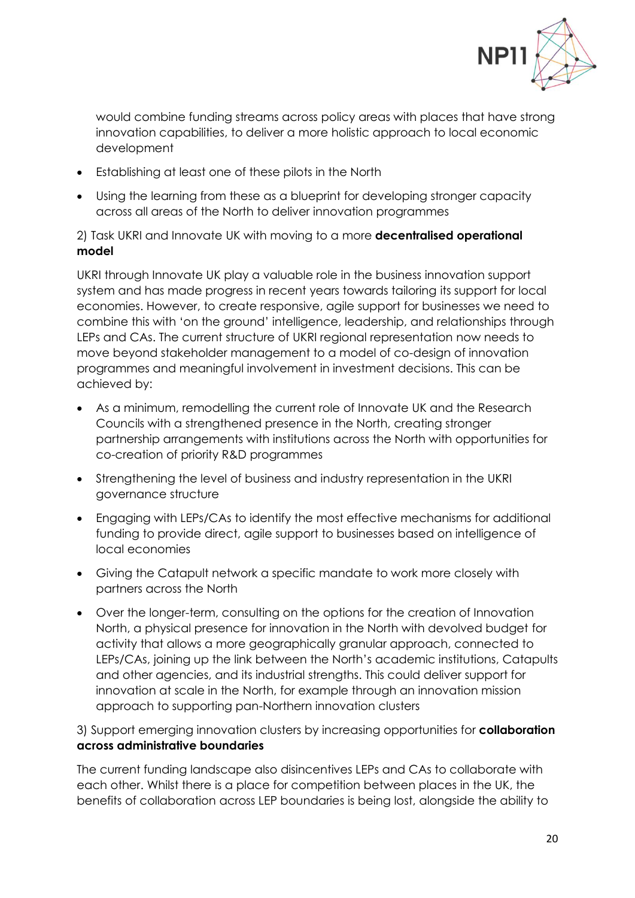

would combine funding streams across policy areas with places that have strong innovation capabilities, to deliver a more holistic approach to local economic development

- Establishing at least one of these pilots in the North
- Using the learning from these as a blueprint for developing stronger capacity across all areas of the North to deliver innovation programmes

2) Task UKRI and Innovate UK with moving to a more **decentralised operational model**

UKRI through Innovate UK play a valuable role in the business innovation support system and has made progress in recent years towards tailoring its support for local economies. However, to create responsive, agile support for businesses we need to combine this with 'on the ground' intelligence, leadership, and relationships through LEPs and CAs. The current structure of UKRI regional representation now needs to move beyond stakeholder management to a model of co-design of innovation programmes and meaningful involvement in investment decisions. This can be achieved by:

- As a minimum, remodelling the current role of Innovate UK and the Research Councils with a strengthened presence in the North, creating stronger partnership arrangements with institutions across the North with opportunities for co-creation of priority R&D programmes
- Strengthening the level of business and industry representation in the UKRI governance structure
- Engaging with LEPs/CAs to identify the most effective mechanisms for additional funding to provide direct, agile support to businesses based on intelligence of local economies
- Giving the Catapult network a specific mandate to work more closely with partners across the North
- Over the longer-term, consulting on the options for the creation of Innovation North, a physical presence for innovation in the North with devolved budget for activity that allows a more geographically granular approach, connected to LEPs/CAs, joining up the link between the North's academic institutions, Catapults and other agencies, and its industrial strengths. This could deliver support for innovation at scale in the North, for example through an innovation mission approach to supporting pan-Northern innovation clusters

3) Support emerging innovation clusters by increasing opportunities for **collaboration across administrative boundaries**

The current funding landscape also disincentives LEPs and CAs to collaborate with each other. Whilst there is a place for competition between places in the UK, the benefits of collaboration across LEP boundaries is being lost, alongside the ability to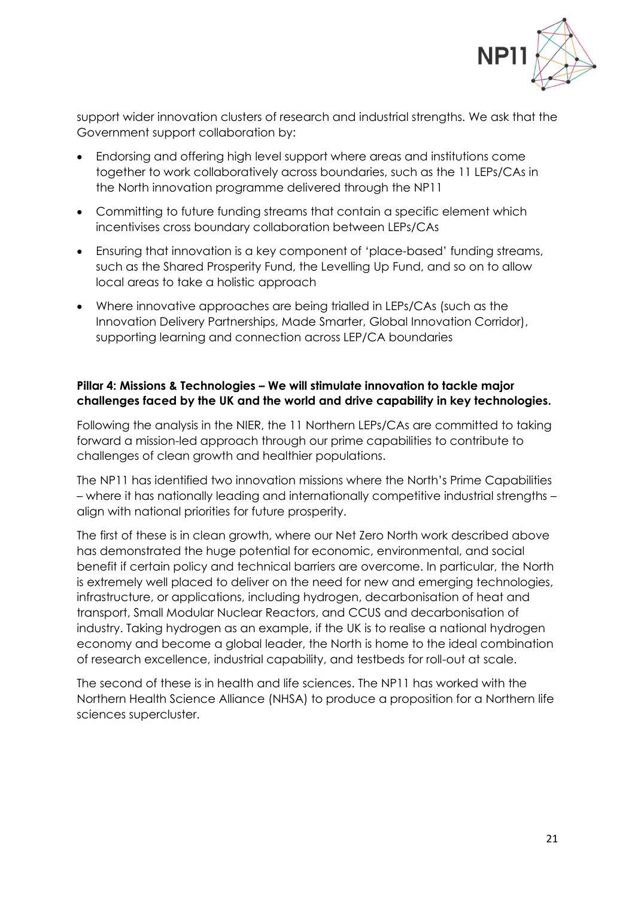

support wider innovation clusters of research and industrial strengths. We ask that the Government support collaboration by:

- Endorsing and offering high level support where areas and institutions come together to work collaboratively across boundaries, such as the 11 LEPs/CAs in the North innovation programme delivered through the NP11
- Committing to future funding streams that contain a specific element which incentivises cross boundary collaboration between LEPs/CAs
- Ensuring that innovation is a key component of 'place-based' funding streams, such as the Shared Prosperity Fund, the Levelling Up Fund, and so on to allow local areas to take a holistic approach
- Where innovative approaches are being trialled in LEPs/CAs (such as the Innovation Delivery Partnerships, Made Smarter, Global Innovation Corridor), supporting learning and connection across LEP/CA boundaries

## **Pillar 4: Missions & Technologies – We will stimulate innovation to tackle major challenges faced by the UK and the world and drive capability in key technologies.**

Following the analysis in the NIER, the 11 Northern LEPs/CAs are committed to taking forward a mission-led approach through our prime capabilities to contribute to challenges of clean growth and healthier populations.

The NP11 has identified two innovation missions where the North's Prime Capabilities – where it has nationally leading and internationally competitive industrial strengths – align with national priorities for future prosperity.

The first of these is in clean growth, where our Net Zero North work described above has demonstrated the huge potential for economic, environmental, and social benefit if certain policy and technical barriers are overcome. In particular, the North is extremely well placed to deliver on the need for new and emerging technologies, infrastructure, or applications, including hydrogen, decarbonisation of heat and transport, Small Modular Nuclear Reactors, and CCUS and decarbonisation of industry. Taking hydrogen as an example, if the UK is to realise a national hydrogen economy and become a global leader, the North is home to the ideal combination of research excellence, industrial capability, and testbeds for roll-out at scale.

The second of these is in health and life sciences. The NP11 has worked with the Northern Health Science Alliance (NHSA) to produce a proposition for a Northern life sciences supercluster.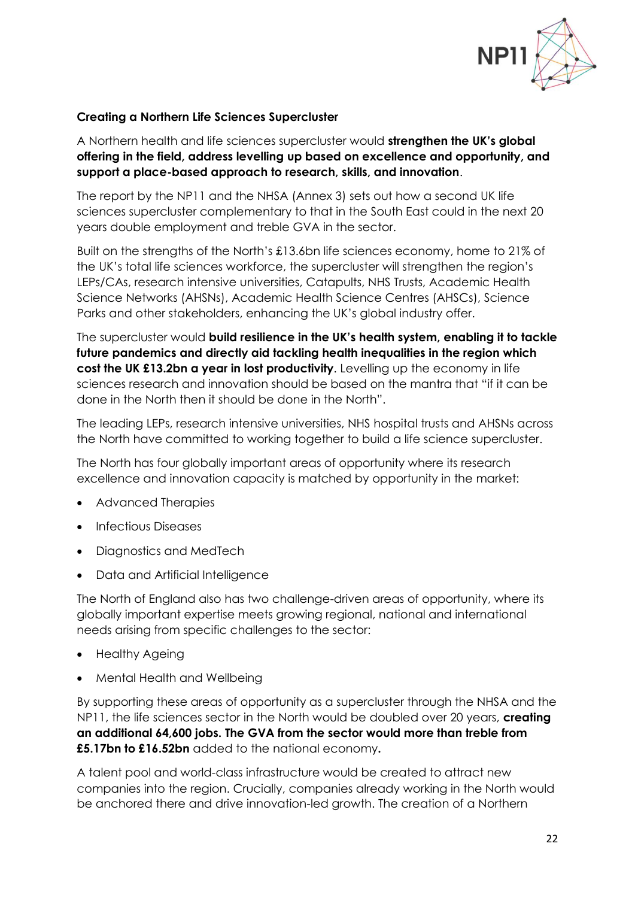

### **Creating a Northern Life Sciences Supercluster**

A Northern health and life sciences supercluster would **strengthen the UK's global offering in the field, address levelling up based on excellence and opportunity, and support a place-based approach to research, skills, and innovation**.

The report by the NP11 and the NHSA (Annex 3) sets out how a second UK life sciences supercluster complementary to that in the South East could in the next 20 years double employment and treble GVA in the sector.

Built on the strengths of the North's £13.6bn life sciences economy, home to 21% of the UK's total life sciences workforce, the supercluster will strengthen the region's LEPs/CAs, research intensive universities, Catapults, NHS Trusts, Academic Health Science Networks (AHSNs), Academic Health Science Centres (AHSCs), Science Parks and other stakeholders, enhancing the UK's global industry offer.

The supercluster would **build resilience in the UK's health system, enabling it to tackle future pandemics and directly aid tackling health inequalities in the region which cost the UK £13.2bn a year in lost productivity**. Levelling up the economy in life sciences research and innovation should be based on the mantra that "if it can be done in the North then it should be done in the North".

The leading LEPs, research intensive universities, NHS hospital trusts and AHSNs across the North have committed to working together to build a life science supercluster.

The North has four globally important areas of opportunity where its research excellence and innovation capacity is matched by opportunity in the market:

- Advanced Therapies
- Infectious Diseases
- Diagnostics and MedTech
- Data and Artificial Intelligence

The North of England also has two challenge-driven areas of opportunity, where its globally important expertise meets growing regional, national and international needs arising from specific challenges to the sector:

- Healthy Ageing
- Mental Health and Wellbeing

By supporting these areas of opportunity as a supercluster through the NHSA and the NP11, the life sciences sector in the North would be doubled over 20 years, **creating an additional 64,600 jobs. The GVA from the sector would more than treble from £5.17bn to £16.52bn** added to the national economy**.**

A talent pool and world-class infrastructure would be created to attract new companies into the region. Crucially, companies already working in the North would be anchored there and drive innovation-led growth. The creation of a Northern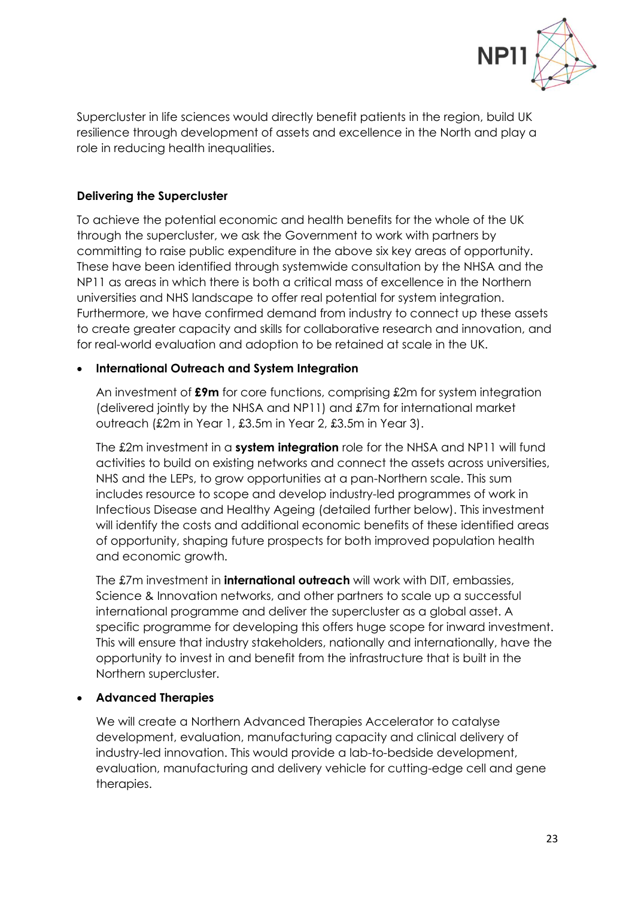

Supercluster in life sciences would directly benefit patients in the region, build UK resilience through development of assets and excellence in the North and play a role in reducing health inequalities.

## **Delivering the Supercluster**

To achieve the potential economic and health benefits for the whole of the UK through the supercluster, we ask the Government to work with partners by committing to raise public expenditure in the above six key areas of opportunity. These have been identified through systemwide consultation by the NHSA and the NP11 as areas in which there is both a critical mass of excellence in the Northern universities and NHS landscape to offer real potential for system integration. Furthermore, we have confirmed demand from industry to connect up these assets to create greater capacity and skills for collaborative research and innovation, and for real-world evaluation and adoption to be retained at scale in the UK.

## • **International Outreach and System Integration**

An investment of **£9m** for core functions, comprising £2m for system integration (delivered jointly by the NHSA and NP11) and £7m for international market outreach (£2m in Year 1, £3.5m in Year 2, £3.5m in Year 3).

The £2m investment in a **system integration** role for the NHSA and NP11 will fund activities to build on existing networks and connect the assets across universities, NHS and the LEPs, to grow opportunities at a pan-Northern scale. This sum includes resource to scope and develop industry-led programmes of work in Infectious Disease and Healthy Ageing (detailed further below). This investment will identify the costs and additional economic benefits of these identified areas of opportunity, shaping future prospects for both improved population health and economic growth.

The £7m investment in **international outreach** will work with DIT, embassies, Science & Innovation networks, and other partners to scale up a successful international programme and deliver the supercluster as a global asset. A specific programme for developing this offers huge scope for inward investment. This will ensure that industry stakeholders, nationally and internationally, have the opportunity to invest in and benefit from the infrastructure that is built in the Northern supercluster.

# • **Advanced Therapies**

We will create a Northern Advanced Therapies Accelerator to catalyse development, evaluation, manufacturing capacity and clinical delivery of industry-led innovation. This would provide a lab-to-bedside development, evaluation, manufacturing and delivery vehicle for cutting-edge cell and gene therapies.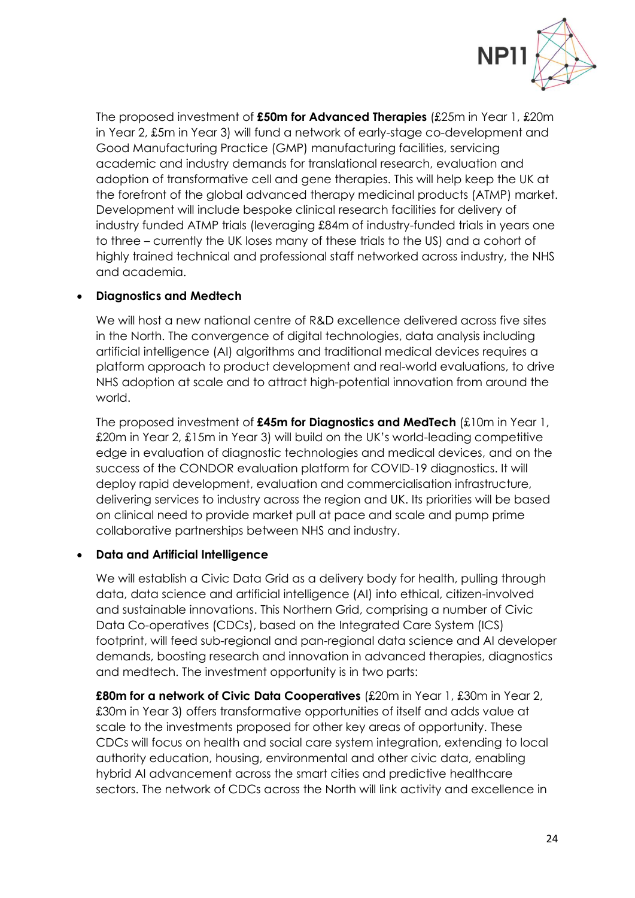

The proposed investment of **£50m for Advanced Therapies** (£25m in Year 1, £20m in Year 2, £5m in Year 3) will fund a network of early-stage co-development and Good Manufacturing Practice (GMP) manufacturing facilities, servicing academic and industry demands for translational research, evaluation and adoption of transformative cell and gene therapies. This will help keep the UK at the forefront of the global advanced therapy medicinal products (ATMP) market. Development will include bespoke clinical research facilities for delivery of industry funded ATMP trials (leveraging £84m of industry-funded trials in years one to three – currently the UK loses many of these trials to the US) and a cohort of highly trained technical and professional staff networked across industry, the NHS and academia.

## • **Diagnostics and Medtech**

We will host a new national centre of R&D excellence delivered across five sites in the North. The convergence of digital technologies, data analysis including artificial intelligence (AI) algorithms and traditional medical devices requires a platform approach to product development and real-world evaluations, to drive NHS adoption at scale and to attract high-potential innovation from around the world.

The proposed investment of **£45m for Diagnostics and MedTech** (£10m in Year 1, £20m in Year 2, £15m in Year 3) will build on the UK's world-leading competitive edge in evaluation of diagnostic technologies and medical devices, and on the success of the CONDOR evaluation platform for COVID-19 diagnostics. It will deploy rapid development, evaluation and commercialisation infrastructure, delivering services to industry across the region and UK. Its priorities will be based on clinical need to provide market pull at pace and scale and pump prime collaborative partnerships between NHS and industry.

# • **Data and Artificial Intelligence**

We will establish a Civic Data Grid as a delivery body for health, pulling through data, data science and artificial intelligence (AI) into ethical, citizen-involved and sustainable innovations. This Northern Grid, comprising a number of Civic Data Co-operatives (CDCs), based on the Integrated Care System (ICS) footprint, will feed sub-regional and pan-regional data science and AI developer demands, boosting research and innovation in advanced therapies, diagnostics and medtech. The investment opportunity is in two parts:

**£80m for a network of Civic Data Cooperatives** (£20m in Year 1, £30m in Year 2, £30m in Year 3) offers transformative opportunities of itself and adds value at scale to the investments proposed for other key areas of opportunity. These CDCs will focus on health and social care system integration, extending to local authority education, housing, environmental and other civic data, enabling hybrid AI advancement across the smart cities and predictive healthcare sectors. The network of CDCs across the North will link activity and excellence in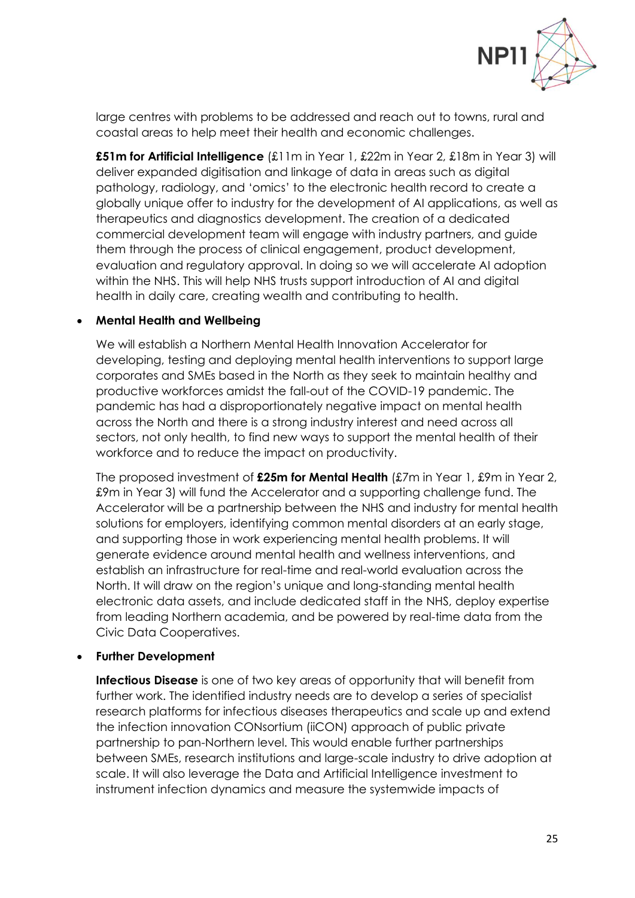

large centres with problems to be addressed and reach out to towns, rural and coastal areas to help meet their health and economic challenges.

**£51m for Artificial Intelligence** (£11m in Year 1, £22m in Year 2, £18m in Year 3) will deliver expanded digitisation and linkage of data in areas such as digital pathology, radiology, and 'omics' to the electronic health record to create a globally unique offer to industry for the development of AI applications, as well as therapeutics and diagnostics development. The creation of a dedicated commercial development team will engage with industry partners, and guide them through the process of clinical engagement, product development, evaluation and regulatory approval. In doing so we will accelerate AI adoption within the NHS. This will help NHS trusts support introduction of AI and digital health in daily care, creating wealth and contributing to health.

### • **Mental Health and Wellbeing**

We will establish a Northern Mental Health Innovation Accelerator for developing, testing and deploying mental health interventions to support large corporates and SMEs based in the North as they seek to maintain healthy and productive workforces amidst the fall-out of the COVID-19 pandemic. The pandemic has had a disproportionately negative impact on mental health across the North and there is a strong industry interest and need across all sectors, not only health, to find new ways to support the mental health of their workforce and to reduce the impact on productivity.

The proposed investment of **£25m for Mental Health** (£7m in Year 1, £9m in Year 2, £9m in Year 3) will fund the Accelerator and a supporting challenge fund. The Accelerator will be a partnership between the NHS and industry for mental health solutions for employers, identifying common mental disorders at an early stage, and supporting those in work experiencing mental health problems. It will generate evidence around mental health and wellness interventions, and establish an infrastructure for real-time and real-world evaluation across the North. It will draw on the region's unique and long-standing mental health electronic data assets, and include dedicated staff in the NHS, deploy expertise from leading Northern academia, and be powered by real-time data from the Civic Data Cooperatives.

#### • **Further Development**

**Infectious Disease** is one of two key areas of opportunity that will benefit from further work. The identified industry needs are to develop a series of specialist research platforms for infectious diseases therapeutics and scale up and extend the infection innovation CONsortium (iiCON) approach of public private partnership to pan-Northern level. This would enable further partnerships between SMEs, research institutions and large-scale industry to drive adoption at scale. It will also leverage the Data and Artificial Intelligence investment to instrument infection dynamics and measure the systemwide impacts of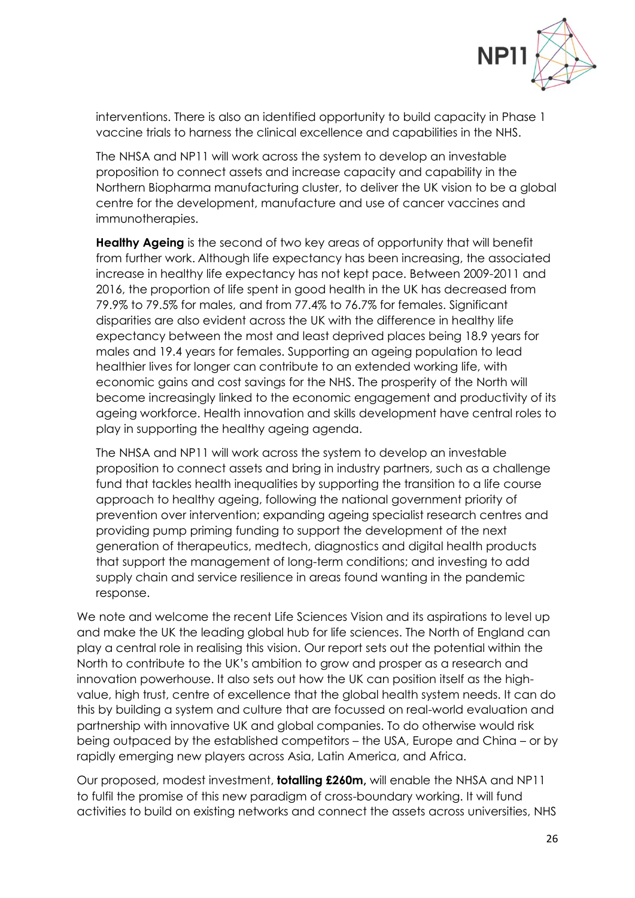

interventions. There is also an identified opportunity to build capacity in Phase 1 vaccine trials to harness the clinical excellence and capabilities in the NHS.

The NHSA and NP11 will work across the system to develop an investable proposition to connect assets and increase capacity and capability in the Northern Biopharma manufacturing cluster, to deliver the UK vision to be a global centre for the development, manufacture and use of cancer vaccines and immunotherapies.

**Healthy Ageing** is the second of two key areas of opportunity that will benefit from further work. Although life expectancy has been increasing, the associated increase in healthy life expectancy has not kept pace. Between 2009-2011 and 2016, the proportion of life spent in good health in the UK has decreased from 79.9% to 79.5% for males, and from 77.4% to 76.7% for females. Significant disparities are also evident across the UK with the difference in healthy life expectancy between the most and least deprived places being 18.9 years for males and 19.4 years for females. Supporting an ageing population to lead healthier lives for longer can contribute to an extended working life, with economic gains and cost savings for the NHS. The prosperity of the North will become increasingly linked to the economic engagement and productivity of its ageing workforce. Health innovation and skills development have central roles to play in supporting the healthy ageing agenda.

The NHSA and NP11 will work across the system to develop an investable proposition to connect assets and bring in industry partners, such as a challenge fund that tackles health inequalities by supporting the transition to a life course approach to healthy ageing, following the national government priority of prevention over intervention; expanding ageing specialist research centres and providing pump priming funding to support the development of the next generation of therapeutics, medtech, diagnostics and digital health products that support the management of long-term conditions; and investing to add supply chain and service resilience in areas found wanting in the pandemic response.

We note and welcome the recent Life Sciences Vision and its aspirations to level up and make the UK the leading global hub for life sciences. The North of England can play a central role in realising this vision. Our report sets out the potential within the North to contribute to the UK's ambition to grow and prosper as a research and innovation powerhouse. It also sets out how the UK can position itself as the highvalue, high trust, centre of excellence that the global health system needs. It can do this by building a system and culture that are focussed on real-world evaluation and partnership with innovative UK and global companies. To do otherwise would risk being outpaced by the established competitors – the USA, Europe and China – or by rapidly emerging new players across Asia, Latin America, and Africa.

Our proposed, modest investment, **totalling £260m,** will enable the NHSA and NP11 to fulfil the promise of this new paradigm of cross-boundary working. It will fund activities to build on existing networks and connect the assets across universities, NHS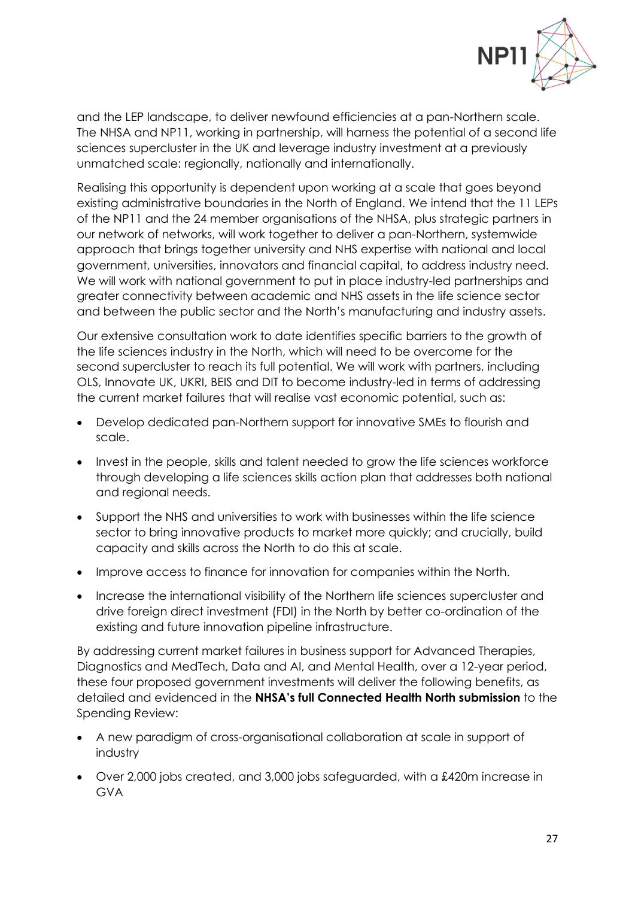

and the LEP landscape, to deliver newfound efficiencies at a pan-Northern scale. The NHSA and NP11, working in partnership, will harness the potential of a second life sciences supercluster in the UK and leverage industry investment at a previously unmatched scale: regionally, nationally and internationally.

Realising this opportunity is dependent upon working at a scale that goes beyond existing administrative boundaries in the North of England. We intend that the 11 LEPs of the NP11 and the 24 member organisations of the NHSA, plus strategic partners in our network of networks, will work together to deliver a pan-Northern, systemwide approach that brings together university and NHS expertise with national and local government, universities, innovators and financial capital, to address industry need. We will work with national government to put in place industry-led partnerships and greater connectivity between academic and NHS assets in the life science sector and between the public sector and the North's manufacturing and industry assets.

Our extensive consultation work to date identifies specific barriers to the growth of the life sciences industry in the North, which will need to be overcome for the second supercluster to reach its full potential. We will work with partners, including OLS, Innovate UK, UKRI, BEIS and DIT to become industry-led in terms of addressing the current market failures that will realise vast economic potential, such as:

- Develop dedicated pan-Northern support for innovative SMEs to flourish and scale.
- Invest in the people, skills and talent needed to grow the life sciences workforce through developing a life sciences skills action plan that addresses both national and regional needs.
- Support the NHS and universities to work with businesses within the life science sector to bring innovative products to market more quickly; and crucially, build capacity and skills across the North to do this at scale.
- Improve access to finance for innovation for companies within the North.
- Increase the international visibility of the Northern life sciences supercluster and drive foreign direct investment (FDI) in the North by better co-ordination of the existing and future innovation pipeline infrastructure.

By addressing current market failures in business support for Advanced Therapies, Diagnostics and MedTech, Data and AI, and Mental Health, over a 12-year period, these four proposed government investments will deliver the following benefits, as detailed and evidenced in the **NHSA's full Connected Health North submission** to the Spending Review:

- A new paradigm of cross-organisational collaboration at scale in support of industry
- Over 2,000 jobs created, and 3,000 jobs safeguarded, with a £420m increase in GVA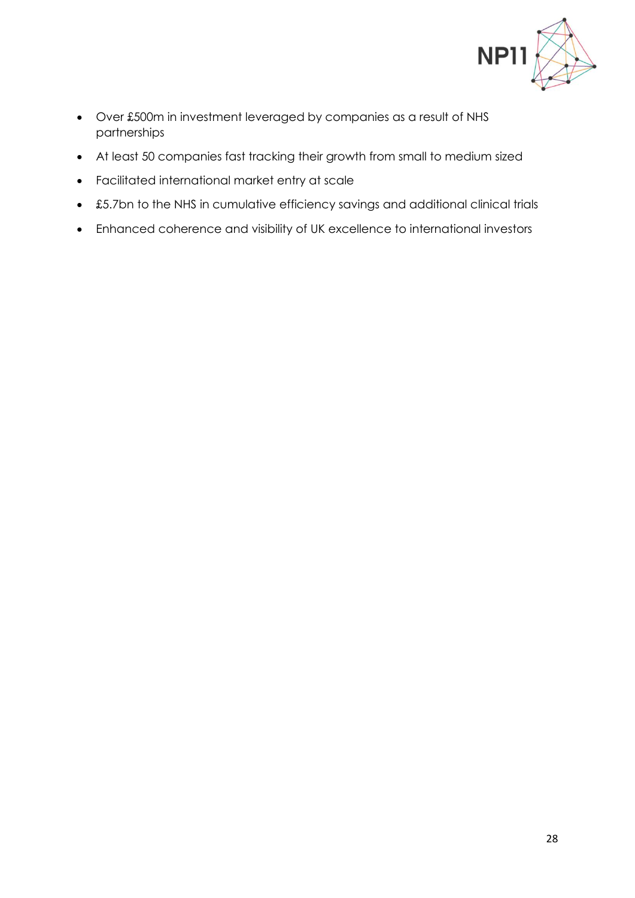

- Over £500m in investment leveraged by companies as a result of NHS partnerships
- At least 50 companies fast tracking their growth from small to medium sized
- Facilitated international market entry at scale
- £5.7bn to the NHS in cumulative efficiency savings and additional clinical trials
- Enhanced coherence and visibility of UK excellence to international investors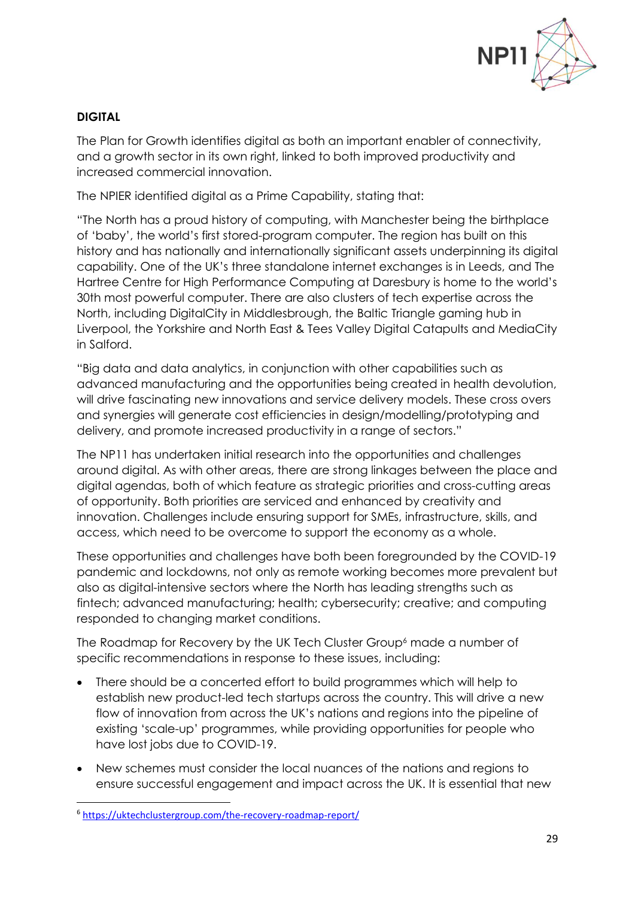

## **DIGITAL**

The Plan for Growth identifies digital as both an important enabler of connectivity, and a growth sector in its own right, linked to both improved productivity and increased commercial innovation.

The NPIER identified digital as a Prime Capability, stating that:

"The North has a proud history of computing, with Manchester being the birthplace of 'baby', the world's first stored-program computer. The region has built on this history and has nationally and internationally significant assets underpinning its digital capability. One of the UK's three standalone internet exchanges is in Leeds, and The Hartree Centre for High Performance Computing at Daresbury is home to the world's 30th most powerful computer. There are also clusters of tech expertise across the North, including DigitalCity in Middlesbrough, the Baltic Triangle gaming hub in Liverpool, the Yorkshire and North East & Tees Valley Digital Catapults and MediaCity in Salford.

"Big data and data analytics, in conjunction with other capabilities such as advanced manufacturing and the opportunities being created in health devolution, will drive fascinating new innovations and service delivery models. These cross overs and synergies will generate cost efficiencies in design/modelling/prototyping and delivery, and promote increased productivity in a range of sectors."

The NP11 has undertaken initial research into the opportunities and challenges around digital. As with other areas, there are strong linkages between the place and digital agendas, both of which feature as strategic priorities and cross-cutting areas of opportunity. Both priorities are serviced and enhanced by creativity and innovation. Challenges include ensuring support for SMEs, infrastructure, skills, and access, which need to be overcome to support the economy as a whole.

These opportunities and challenges have both been foregrounded by the COVID-19 pandemic and lockdowns, not only as remote working becomes more prevalent but also as digital-intensive sectors where the North has leading strengths such as fintech; advanced manufacturing; health; cybersecurity; creative; and computing responded to changing market conditions.

The Roadmap for Recovery by the UK Tech Cluster Group<sup>6</sup> made a number of specific recommendations in response to these issues, including:

- There should be a concerted effort to build programmes which will help to establish new product-led tech startups across the country. This will drive a new flow of innovation from across the UK's nations and regions into the pipeline of existing 'scale-up' programmes, while providing opportunities for people who have lost jobs due to COVID-19.
- New schemes must consider the local nuances of the nations and regions to ensure successful engagement and impact across the UK. It is essential that new

<sup>6</sup> <https://uktechclustergroup.com/the-recovery-roadmap-report/>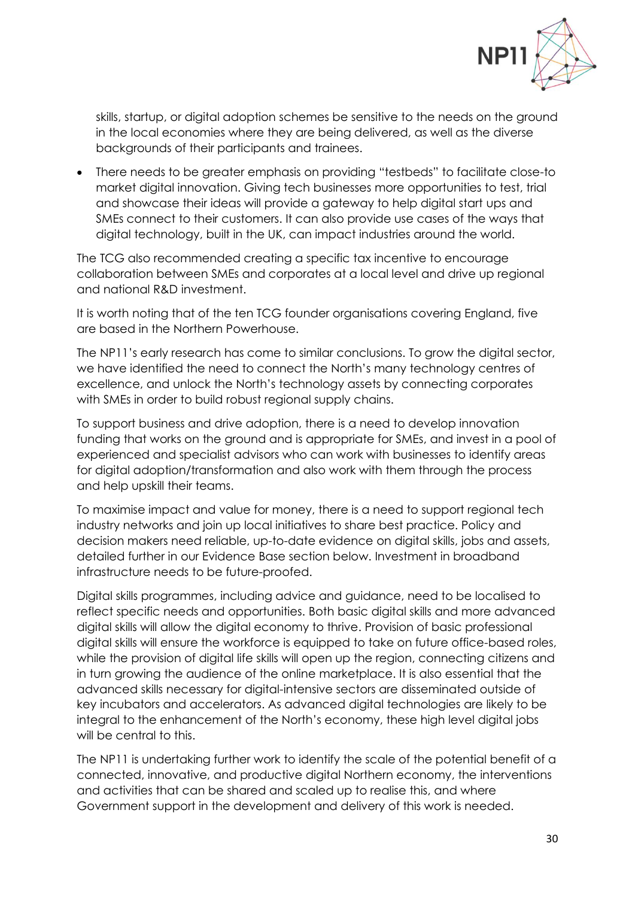

skills, startup, or digital adoption schemes be sensitive to the needs on the ground in the local economies where they are being delivered, as well as the diverse backgrounds of their participants and trainees.

• There needs to be greater emphasis on providing "testbeds" to facilitate close-to market digital innovation. Giving tech businesses more opportunities to test, trial and showcase their ideas will provide a gateway to help digital start ups and SMEs connect to their customers. It can also provide use cases of the ways that digital technology, built in the UK, can impact industries around the world.

The TCG also recommended creating a specific tax incentive to encourage collaboration between SMEs and corporates at a local level and drive up regional and national R&D investment.

It is worth noting that of the ten TCG founder organisations covering England, five are based in the Northern Powerhouse.

The NP11's early research has come to similar conclusions. To grow the digital sector, we have identified the need to connect the North's many technology centres of excellence, and unlock the North's technology assets by connecting corporates with SMEs in order to build robust regional supply chains.

To support business and drive adoption, there is a need to develop innovation funding that works on the ground and is appropriate for SMEs, and invest in a pool of experienced and specialist advisors who can work with businesses to identify areas for digital adoption/transformation and also work with them through the process and help upskill their teams.

To maximise impact and value for money, there is a need to support regional tech industry networks and join up local initiatives to share best practice. Policy and decision makers need reliable, up-to-date evidence on digital skills, jobs and assets, detailed further in our Evidence Base section below. Investment in broadband infrastructure needs to be future-proofed.

Digital skills programmes, including advice and guidance, need to be localised to reflect specific needs and opportunities. Both basic digital skills and more advanced digital skills will allow the digital economy to thrive. Provision of basic professional digital skills will ensure the workforce is equipped to take on future office-based roles, while the provision of digital life skills will open up the region, connecting citizens and in turn growing the audience of the online marketplace. It is also essential that the advanced skills necessary for digital-intensive sectors are disseminated outside of key incubators and accelerators. As advanced digital technologies are likely to be integral to the enhancement of the North's economy, these high level digital jobs will be central to this.

The NP11 is undertaking further work to identify the scale of the potential benefit of a connected, innovative, and productive digital Northern economy, the interventions and activities that can be shared and scaled up to realise this, and where Government support in the development and delivery of this work is needed.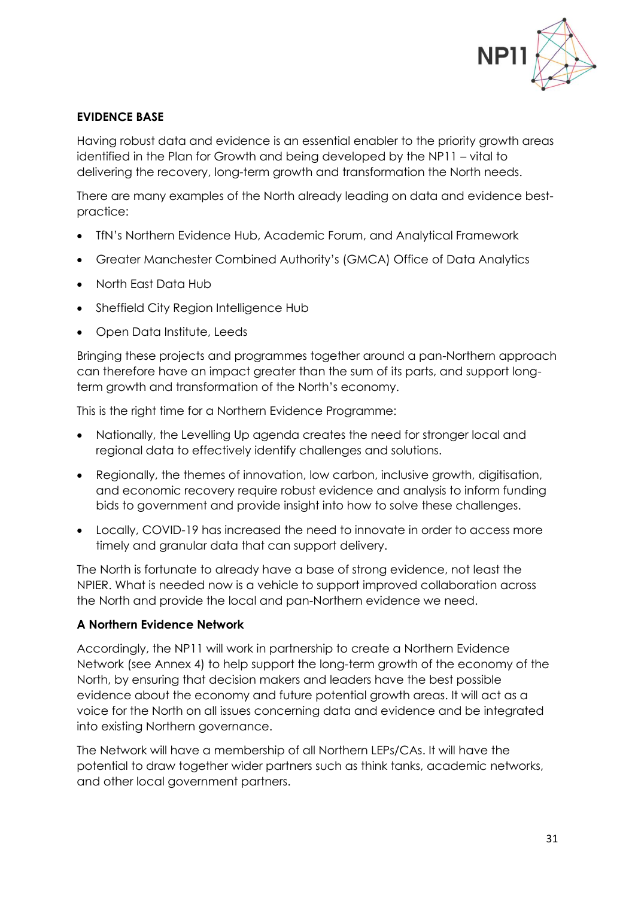

## **EVIDENCE BASE**

Having robust data and evidence is an essential enabler to the priority growth areas identified in the Plan for Growth and being developed by the NP11 – vital to delivering the recovery, long-term growth and transformation the North needs.

There are many examples of the North already leading on data and evidence bestpractice:

- TfN's Northern Evidence Hub, Academic Forum, and Analytical Framework
- Greater Manchester Combined Authority's (GMCA) Office of Data Analytics
- North East Data Hub
- Sheffield City Region Intelligence Hub
- Open Data Institute, Leeds

Bringing these projects and programmes together around a pan-Northern approach can therefore have an impact greater than the sum of its parts, and support longterm growth and transformation of the North's economy.

This is the right time for a Northern Evidence Programme:

- Nationally, the Levelling Up agenda creates the need for stronger local and regional data to effectively identify challenges and solutions.
- Regionally, the themes of innovation, low carbon, inclusive growth, digitisation, and economic recovery require robust evidence and analysis to inform funding bids to government and provide insight into how to solve these challenges.
- Locally, COVID-19 has increased the need to innovate in order to access more timely and granular data that can support delivery.

The North is fortunate to already have a base of strong evidence, not least the NPIER. What is needed now is a vehicle to support improved collaboration across the North and provide the local and pan-Northern evidence we need.

### **A Northern Evidence Network**

Accordingly, the NP11 will work in partnership to create a Northern Evidence Network (see Annex 4) to help support the long-term growth of the economy of the North, by ensuring that decision makers and leaders have the best possible evidence about the economy and future potential growth areas. It will act as a voice for the North on all issues concerning data and evidence and be integrated into existing Northern governance.

The Network will have a membership of all Northern LEPs/CAs. It will have the potential to draw together wider partners such as think tanks, academic networks, and other local government partners.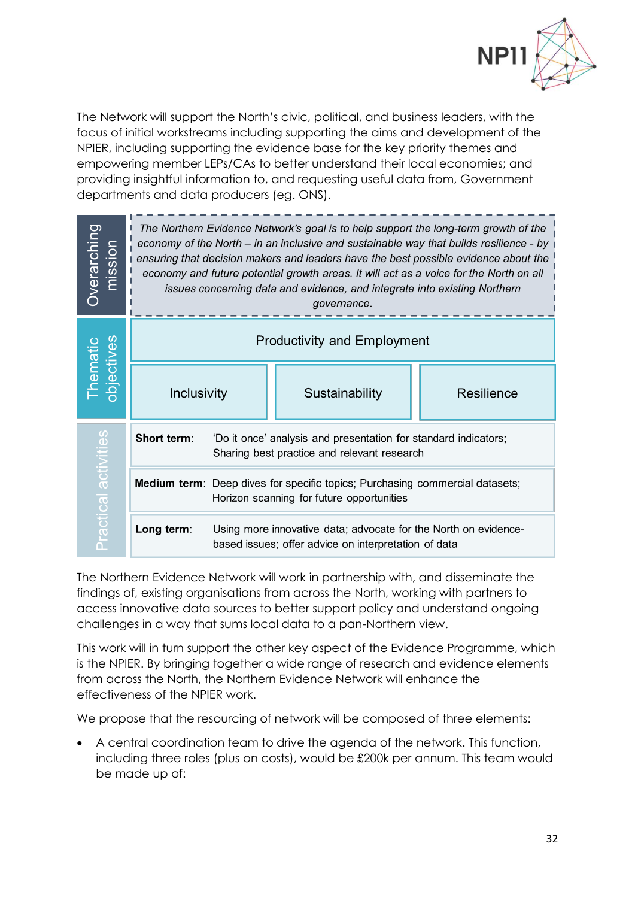

The Network will support the North's civic, political, and business leaders, with the focus of initial workstreams including supporting the aims and development of the NPIER, including supporting the evidence base for the key priority themes and empowering member LEPs/CAs to better understand their local economies; and providing insightful information to, and requesting useful data from, Government departments and data producers (eg. ONS).

| Overarching<br>mission                  | The Northern Evidence Network's goal is to help support the long-term growth of the<br>economy of the North - in an inclusive and sustainable way that builds resilience - by<br>ensuring that decision makers and leaders have the best possible evidence about the<br>economy and future potential growth areas. It will act as a voice for the North on all<br>issues concerning data and evidence, and integrate into existing Northern<br>governance. |                                                                                                                           |                |            |
|-----------------------------------------|------------------------------------------------------------------------------------------------------------------------------------------------------------------------------------------------------------------------------------------------------------------------------------------------------------------------------------------------------------------------------------------------------------------------------------------------------------|---------------------------------------------------------------------------------------------------------------------------|----------------|------------|
| <b>objectives</b><br>Thema <sup>®</sup> | <b>Productivity and Employment</b>                                                                                                                                                                                                                                                                                                                                                                                                                         |                                                                                                                           |                |            |
|                                         | Inclusivity                                                                                                                                                                                                                                                                                                                                                                                                                                                |                                                                                                                           | Sustainability | Resilience |
| Practical activiti                      | Short term:                                                                                                                                                                                                                                                                                                                                                                                                                                                | 'Do it once' analysis and presentation for standard indicators;<br>Sharing best practice and relevant research            |                |            |
|                                         |                                                                                                                                                                                                                                                                                                                                                                                                                                                            | Medium term: Deep dives for specific topics; Purchasing commercial datasets;<br>Horizon scanning for future opportunities |                |            |
|                                         | Long term:                                                                                                                                                                                                                                                                                                                                                                                                                                                 | Using more innovative data; advocate for the North on evidence-<br>based issues; offer advice on interpretation of data   |                |            |

The Northern Evidence Network will work in partnership with, and disseminate the findings of, existing organisations from across the North, working with partners to access innovative data sources to better support policy and understand ongoing challenges in a way that sums local data to a pan-Northern view.

This work will in turn support the other key aspect of the Evidence Programme, which is the NPIER. By bringing together a wide range of research and evidence elements from across the North, the Northern Evidence Network will enhance the effectiveness of the NPIER work.

We propose that the resourcing of network will be composed of three elements:

• A central coordination team to drive the agenda of the network. This function, including three roles (plus on costs), would be £200k per annum. This team would be made up of: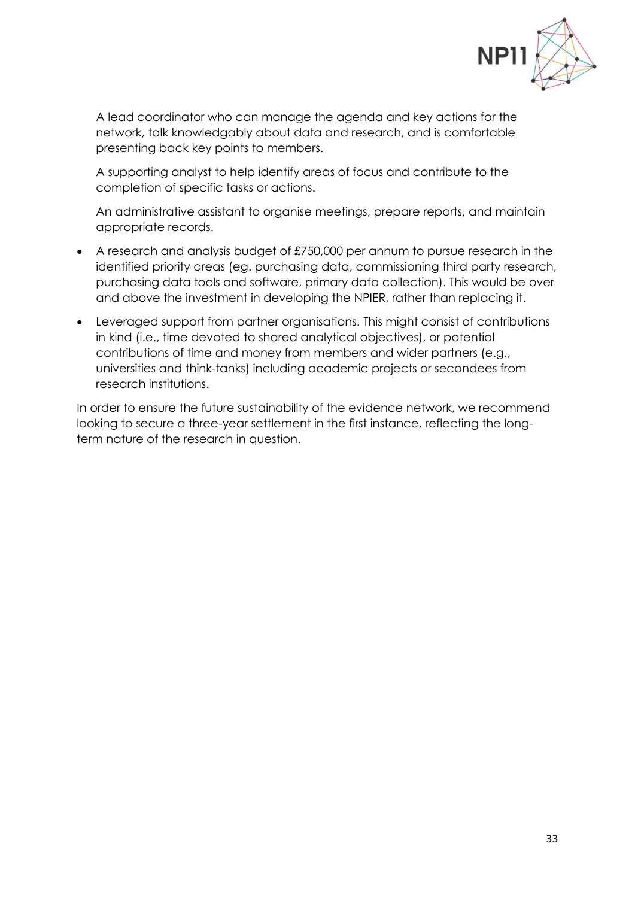

A lead coordinator who can manage the agenda and key actions for the network, talk knowledgably about data and research, and is comfortable presenting back key points to members.

A supporting analyst to help identify areas of focus and contribute to the completion of specific tasks or actions.

An administrative assistant to organise meetings, prepare reports, and maintain appropriate records.

- A research and analysis budget of £750,000 per annum to pursue research in the identified priority areas (eg. purchasing data, commissioning third party research, purchasing data tools and software, primary data collection). This would be over and above the investment in developing the NPIER, rather than replacing it.
- Leveraged support from partner organisations. This might consist of contributions in kind (i.e., time devoted to shared analytical objectives), or potential contributions of time and money from members and wider partners (e.g., universities and think-tanks) including academic projects or secondees from research institutions.

In order to ensure the future sustainability of the evidence network, we recommend looking to secure a three-year settlement in the first instance, reflecting the longterm nature of the research in question.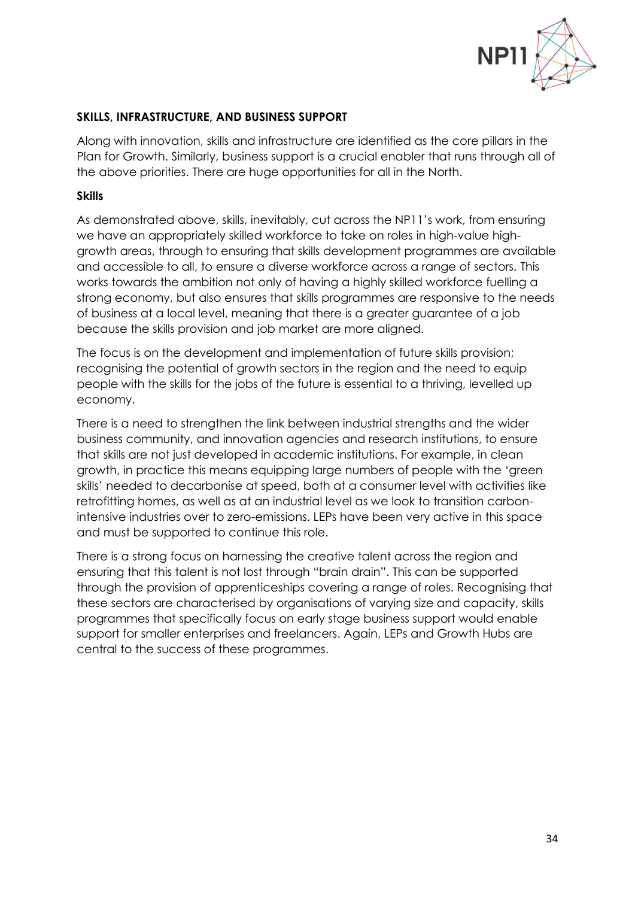

#### **SKILLS, INFRASTRUCTURE, AND BUSINESS SUPPORT**

Along with innovation, skills and infrastructure are identified as the core pillars in the Plan for Growth. Similarly, business support is a crucial enabler that runs through all of the above priorities. There are huge opportunities for all in the North.

#### **Skills**

As demonstrated above, skills, inevitably, cut across the NP11's work, from ensuring we have an appropriately skilled workforce to take on roles in high-value highgrowth areas, through to ensuring that skills development programmes are available and accessible to all, to ensure a diverse workforce across a range of sectors. This works towards the ambition not only of having a highly skilled workforce fuelling a strong economy, but also ensures that skills programmes are responsive to the needs of business at a local level, meaning that there is a greater guarantee of a job because the skills provision and job market are more aligned.

The focus is on the development and implementation of future skills provision; recognising the potential of growth sectors in the region and the need to equip people with the skills for the jobs of the future is essential to a thriving, levelled up economy.

There is a need to strengthen the link between industrial strengths and the wider business community, and innovation agencies and research institutions, to ensure that skills are not just developed in academic institutions. For example, in clean growth, in practice this means equipping large numbers of people with the 'green skills' needed to decarbonise at speed, both at a consumer level with activities like retrofitting homes, as well as at an industrial level as we look to transition carbonintensive industries over to zero-emissions. LEPs have been very active in this space and must be supported to continue this role.

There is a strong focus on harnessing the creative talent across the region and ensuring that this talent is not lost through "brain drain". This can be supported through the provision of apprenticeships covering a range of roles. Recognising that these sectors are characterised by organisations of varying size and capacity, skills programmes that specifically focus on early stage business support would enable support for smaller enterprises and freelancers. Again, LEPs and Growth Hubs are central to the success of these programmes.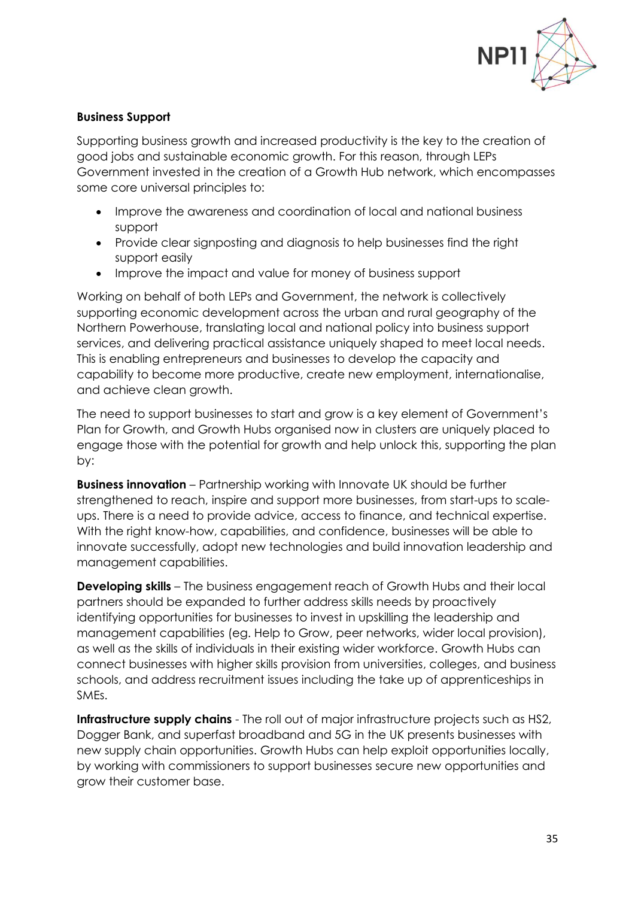

### **Business Support**

Supporting business growth and increased productivity is the key to the creation of good jobs and sustainable economic growth. For this reason, through LEPs Government invested in the creation of a Growth Hub network, which encompasses some core universal principles to:

- Improve the awareness and coordination of local and national business support
- Provide clear signposting and diagnosis to help businesses find the right support easily
- Improve the impact and value for money of business support

Working on behalf of both LEPs and Government, the network is collectively supporting economic development across the urban and rural geography of the Northern Powerhouse, translating local and national policy into business support services, and delivering practical assistance uniquely shaped to meet local needs. This is enabling entrepreneurs and businesses to develop the capacity and capability to become more productive, create new employment, internationalise, and achieve clean growth.

The need to support businesses to start and grow is a key element of Government's Plan for Growth, and Growth Hubs organised now in clusters are uniquely placed to engage those with the potential for growth and help unlock this, supporting the plan by:

**Business innovation** – Partnership working with Innovate UK should be further strengthened to reach, inspire and support more businesses, from start-ups to scaleups. There is a need to provide advice, access to finance, and technical expertise. With the right know-how, capabilities, and confidence, businesses will be able to innovate successfully, adopt new technologies and build innovation leadership and management capabilities.

**Developing skills** – The business engagement reach of Growth Hubs and their local partners should be expanded to further address skills needs by proactively identifying opportunities for businesses to invest in upskilling the leadership and management capabilities (eg. Help to Grow, peer networks, wider local provision), as well as the skills of individuals in their existing wider workforce. Growth Hubs can connect businesses with higher skills provision from universities, colleges, and business schools, and address recruitment issues including the take up of apprenticeships in SMEs.

**Infrastructure supply chains** - The roll out of major infrastructure projects such as HS2, Dogger Bank, and superfast broadband and 5G in the UK presents businesses with new supply chain opportunities. Growth Hubs can help exploit opportunities locally, by working with commissioners to support businesses secure new opportunities and grow their customer base.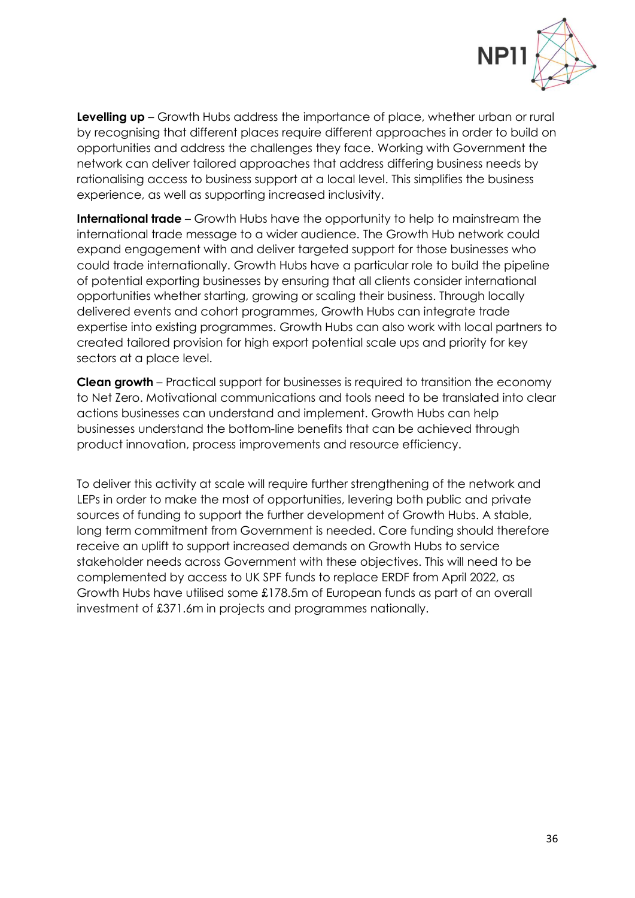

**Levelling up** – Growth Hubs address the importance of place, whether urban or rural by recognising that different places require different approaches in order to build on opportunities and address the challenges they face. Working with Government the network can deliver tailored approaches that address differing business needs by rationalising access to business support at a local level. This simplifies the business experience, as well as supporting increased inclusivity.

**International trade** – Growth Hubs have the opportunity to help to mainstream the international trade message to a wider audience. The Growth Hub network could expand engagement with and deliver targeted support for those businesses who could trade internationally. Growth Hubs have a particular role to build the pipeline of potential exporting businesses by ensuring that all clients consider international opportunities whether starting, growing or scaling their business. Through locally delivered events and cohort programmes, Growth Hubs can integrate trade expertise into existing programmes. Growth Hubs can also work with local partners to created tailored provision for high export potential scale ups and priority for key sectors at a place level.

**Clean growth** – Practical support for businesses is required to transition the economy to Net Zero. Motivational communications and tools need to be translated into clear actions businesses can understand and implement. Growth Hubs can help businesses understand the bottom-line benefits that can be achieved through product innovation, process improvements and resource efficiency.

To deliver this activity at scale will require further strengthening of the network and LEPs in order to make the most of opportunities, levering both public and private sources of funding to support the further development of Growth Hubs. A stable, long term commitment from Government is needed. Core funding should therefore receive an uplift to support increased demands on Growth Hubs to service stakeholder needs across Government with these objectives. This will need to be complemented by access to UK SPF funds to replace ERDF from April 2022, as Growth Hubs have utilised some £178.5m of European funds as part of an overall investment of £371.6m in projects and programmes nationally.